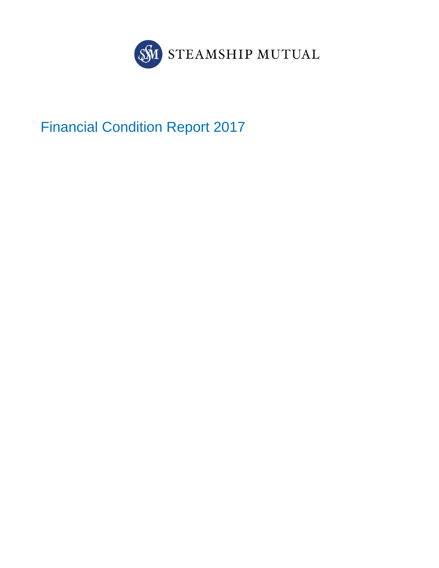

Financial Condition Report 2017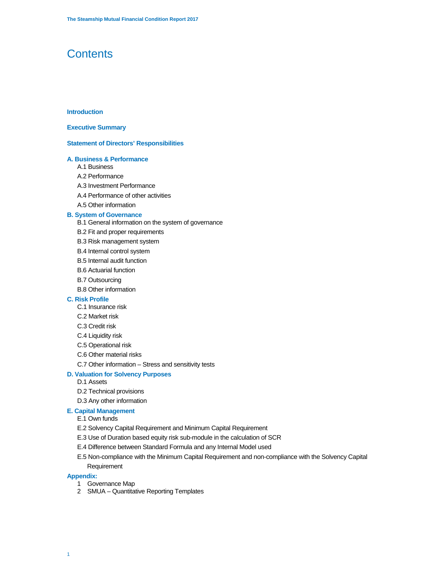## **Contents**

## **Introduction**

## **Executive Summary**

#### **Statement of Directors' Responsibilities**

## **A. Business & Performance**

- A.1 Business
- A.2 Performance
- A.3 Investment Performance
- A.4 Performance of other activities
- A.5 Other information

#### **B. System of Governance**

- B.1 General information on the system of governance
- B.2 Fit and proper requirements
- B.3 Risk management system
- B.4 Internal control system
- B.5 Internal audit function
- B.6 Actuarial function
- B.7 Outsourcing
- B.8 Other information

## **C. Risk Profile**

- C.1 Insurance risk
- C.2 Market risk
- C.3 Credit risk
- C.4 Liquidity risk
- C.5 Operational risk
- C.6 Other material risks
- C.7 Other information Stress and sensitivity tests

## **D. Valuation for Solvency Purposes**

- D.1 Assets
- D.2 Technical provisions
- D.3 Any other information

## **E. Capital Management**

## E.1 Own funds

- E.2 Solvency Capital Requirement and Minimum Capital Requirement
- E.3 Use of Duration based equity risk sub-module in the calculation of SCR
- E.4 Difference between Standard Formula and any Internal Model used
- E.5 Non-compliance with the Minimum Capital Requirement and non-compliance with the Solvency Capital Requirement

## **Appendix:**

- 1 Governance Map
- 2 SMUA Quantitative Reporting Templates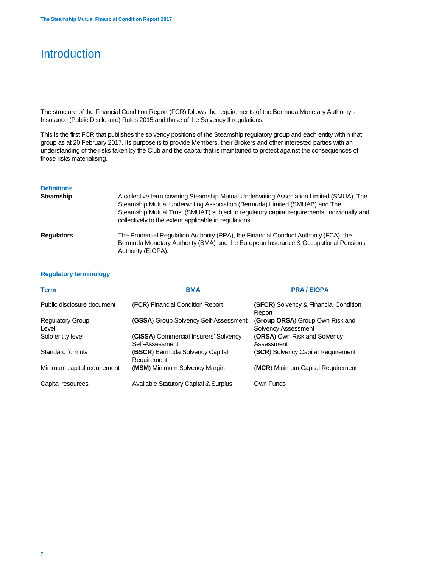## Introduction

The structure of the Financial Condition Report (FCR) follows the requirements of the Bermuda Monetary Authority's Insurance (Public Disclosure) Rules 2015 and those of the Solvency II regulations.

This is the first FCR that publishes the solvency positions of the Steamship regulatory group and each entity within that group as at 20 February 2017. Its purpose is to provide Members, their Brokers and other interested parties with an understanding of the risks taken by the Club and the capital that is maintained to protect against the consequences of those risks materialising.

| <b>Definitions</b><br><b>Steamship</b> | A collective term covering Steamship Mutual Underwriting Association Limited (SMUA), The<br>Steamship Mutual Underwriting Association (Bermuda) Limited (SMUAB) and The<br>Steamship Mutual Trust (SMUAT) subject to regulatory capital requirements, individually and<br>collectively to the extent applicable in regulations. |
|----------------------------------------|---------------------------------------------------------------------------------------------------------------------------------------------------------------------------------------------------------------------------------------------------------------------------------------------------------------------------------|
| <b>Regulators</b>                      | The Prudential Regulation Authority (PRA), the Financial Conduct Authority (FCA), the<br>Bermuda Monetary Authority (BMA) and the European Insurance & Occupational Pensions<br>Authority (EIOPA).                                                                                                                              |

## **Regulatory terminology**

| <b>Term</b>                      | <b>BMA</b>                                               | <b>PRA / EIOPA</b>                                     |
|----------------------------------|----------------------------------------------------------|--------------------------------------------------------|
| Public disclosure document       | (FCR) Financial Condition Report                         | (SFCR) Solvency & Financial Condition<br>Report        |
| <b>Regulatory Group</b><br>Level | (GSSA) Group Solvency Self-Assessment                    | (Group ORSA) Group Own Risk and<br>Solvency Assessment |
| Solo entity level                | (CISSA) Commercial Insurers' Solvency<br>Self-Assessment | (ORSA) Own Risk and Solvency<br>Assessment             |
| Standard formula                 | (BSCR) Bermuda Solvency Capital<br>Requirement           | (SCR) Solvency Capital Requirement                     |
| Minimum capital requirement      | (MSM) Minimum Solvency Margin                            | (MCR) Minimum Capital Requirement                      |
| Capital resources                | <b>Available Statutory Capital &amp; Surplus</b>         | Own Funds                                              |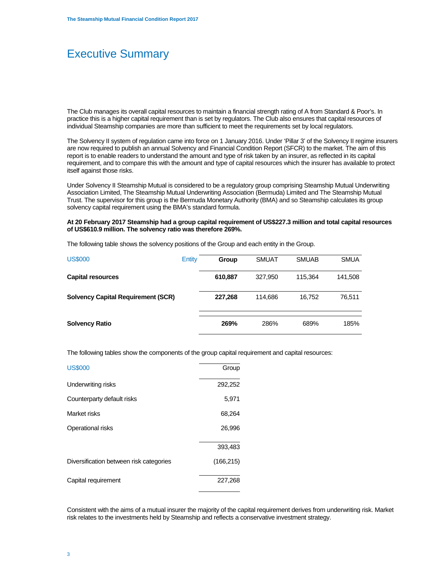## Executive Summary

The Club manages its overall capital resources to maintain a financial strength rating of A from Standard & Poor's. In practice this is a higher capital requirement than is set by regulators. The Club also ensures that capital resources of individual Steamship companies are more than sufficient to meet the requirements set by local regulators.

The Solvency II system of regulation came into force on 1 January 2016. Under 'Pillar 3' of the Solvency II regime insurers are now required to publish an annual Solvency and Financial Condition Report (SFCR) to the market. The aim of this report is to enable readers to understand the amount and type of risk taken by an insurer, as reflected in its capital requirement, and to compare this with the amount and type of capital resources which the insurer has available to protect itself against those risks.

Under Solvency II Steamship Mutual is considered to be a regulatory group comprising Steamship Mutual Underwriting Association Limited, The Steamship Mutual Underwriting Association (Bermuda) Limited and The Steamship Mutual Trust. The supervisor for this group is the Bermuda Monetary Authority (BMA) and so Steamship calculates its group solvency capital requirement using the BMA's standard formula.

## **At 20 February 2017 Steamship had a group capital requirement of US\$227.3 million and total capital resources of US\$610.9 million. The solvency ratio was therefore 269%.**

The following table shows the solvency positions of the Group and each entity in the Group.

| <b>US\$000</b>                            | Entity | Group   | <b>SMUAT</b> | <b>SMUAB</b> | <b>SMUA</b> |
|-------------------------------------------|--------|---------|--------------|--------------|-------------|
| <b>Capital resources</b>                  |        | 610,887 | 327.950      | 115.364      | 141,508     |
| <b>Solvency Capital Requirement (SCR)</b> |        | 227,268 | 114.686      | 16.752       | 76,511      |
| <b>Solvency Ratio</b>                     |        | 269%    | 286%         | 689%         | 185%        |

The following tables show the components of the group capital requirement and capital resources:

| <b>US\$000</b>                          | Group      |
|-----------------------------------------|------------|
| Underwriting risks                      | 292,252    |
| Counterparty default risks              | 5,971      |
| Market risks                            | 68,264     |
| Operational risks                       | 26,996     |
|                                         | 393,483    |
| Diversification between risk categories | (166, 215) |
| Capital requirement                     | 227,268    |

Consistent with the aims of a mutual insurer the majority of the capital requirement derives from underwriting risk. Market risk relates to the investments held by Steamship and reflects a conservative investment strategy.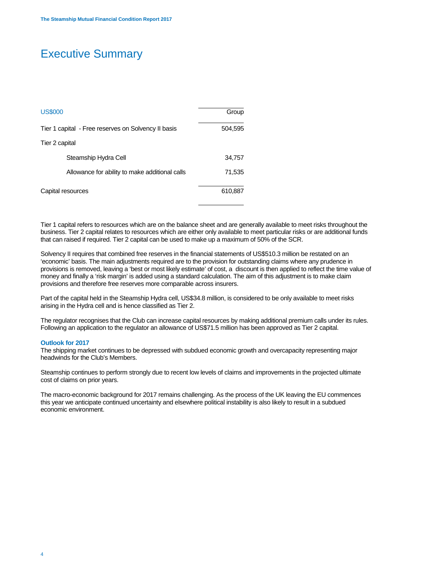## Executive Summary

| <b>US\$000</b>                                      | Group   |
|-----------------------------------------------------|---------|
| Tier 1 capital - Free reserves on Solvency II basis | 504,595 |
| Tier 2 capital                                      |         |
| Steamship Hydra Cell                                | 34,757  |
| Allowance for ability to make additional calls      | 71,535  |
| Capital resources                                   | 610,887 |

Tier 1 capital refers to resources which are on the balance sheet and are generally available to meet risks throughout the business. Tier 2 capital relates to resources which are either only available to meet particular risks or are additional funds that can raised if required. Tier 2 capital can be used to make up a maximum of 50% of the SCR.

Solvency II requires that combined free reserves in the financial statements of US\$510.3 million be restated on an 'economic' basis. The main adjustments required are to the provision for outstanding claims where any prudence in provisions is removed, leaving a 'best or most likely estimate' of cost, a discount is then applied to reflect the time value of money and finally a 'risk margin' is added using a standard calculation. The aim of this adjustment is to make claim provisions and therefore free reserves more comparable across insurers.

Part of the capital held in the Steamship Hydra cell, US\$34.8 million, is considered to be only available to meet risks arising in the Hydra cell and is hence classified as Tier 2.

The regulator recognises that the Club can increase capital resources by making additional premium calls under its rules. Following an application to the regulator an allowance of US\$71.5 million has been approved as Tier 2 capital.

#### **Outlook for 2017**

The shipping market continues to be depressed with subdued economic growth and overcapacity representing major headwinds for the Club's Members.

Steamship continues to perform strongly due to recent low levels of claims and improvements in the projected ultimate cost of claims on prior years.

The macro-economic background for 2017 remains challenging. As the process of the UK leaving the EU commences this year we anticipate continued uncertainty and elsewhere political instability is also likely to result in a subdued economic environment.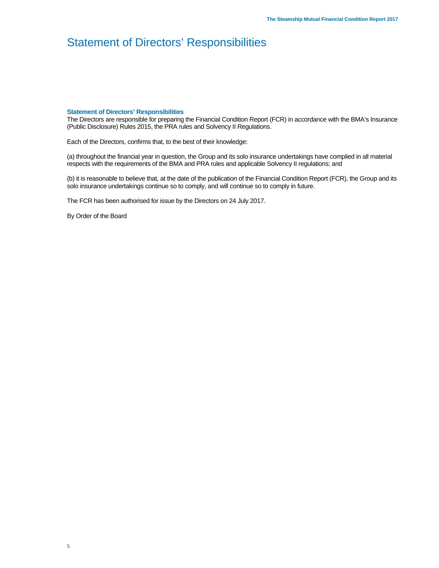## Statement of Directors' Responsibilities

#### **Statement of Directors' Responsibilities**

The Directors are responsible for preparing the Financial Condition Report (FCR) in accordance with the BMA's Insurance (Public Disclosure) Rules 2015, the PRA rules and Solvency II Regulations.

Each of the Directors, confirms that, to the best of their knowledge:

(a) throughout the financial year in question, the Group and its solo insurance undertakings have complied in all material respects with the requirements of the BMA and PRA rules and applicable Solvency II regulations; and

(b) it is reasonable to believe that, at the date of the publication of the Financial Condition Report (FCR), the Group and its solo insurance undertakings continue so to comply, and will continue so to comply in future.

The FCR has been authorised for issue by the Directors on 24 July 2017.

By Order of the Board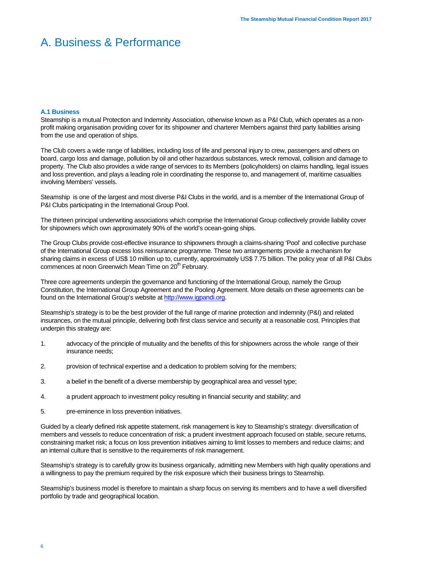#### **A.1 Business**

Steamship is a mutual Protection and Indemnity Association, otherwise known as a P&I Club, which operates as a nonprofit making organisation providing cover for its shipowner and charterer Members against third party liabilities arising from the use and operation of ships.

The Club covers a wide range of liabilities, including loss of life and personal injury to crew, passengers and others on board, cargo loss and damage, pollution by oil and other hazardous substances, wreck removal, collision and damage to property. The Club also provides a wide range of services to its Members (policyholders) on claims handling, legal issues and loss prevention, and plays a leading role in coordinating the response to, and management of, maritime casualties involving Members' vessels.

Steamship is one of the largest and most diverse P&I Clubs in the world, and is a member of the International Group of P&I Clubs participating in the International Group Pool.

The thirteen principal underwriting associations which comprise the International Group collectively provide liability cover for shipowners which own approximately 90% of the world's ocean-going ships.

The Group Clubs provide cost-effective insurance to shipowners through a claims-sharing 'Pool' and collective purchase of the International Group excess loss reinsurance programme. These two arrangements provide a mechanism for sharing claims in excess of US\$ 10 million up to, currently, approximately US\$ 7.75 billion. The policy year of all P&I Clubs commences at noon Greenwich Mean Time on 20<sup>th</sup> February.

Three core agreements underpin the governance and functioning of the International Group, namely the Group Constitution, the International Group Agreement and the Pooling Agreement. More details on these agreements can be found on the International Group's website at http://www.igpandi.org.

Steamship's strategy is to be the best provider of the full range of marine protection and indemnity (P&I) and related insurances, on the mutual principle, delivering both first class service and security at a reasonable cost. Principles that underpin this strategy are:

- 1. advocacy of the principle of mutuality and the benefits of this for shipowners across the whole range of their insurance needs;
- 2. provision of technical expertise and a dedication to problem solving for the members;
- 3. a belief in the benefit of a diverse membership by geographical area and vessel type;
- 4. a prudent approach to investment policy resulting in financial security and stability; and
- 5. pre-eminence in loss prevention initiatives.

Guided by a clearly defined risk appetite statement, risk management is key to Steamship's strategy: diversification of members and vessels to reduce concentration of risk; a prudent investment approach focused on stable, secure returns, constraining market risk; a focus on loss prevention initiatives aiming to limit losses to members and reduce claims; and an internal culture that is sensitive to the requirements of risk management.

Steamship's strategy is to carefully grow its business organically, admitting new Members with high quality operations and a willingness to pay the premium required by the risk exposure which their business brings to Steamship.

Steamship's business model is therefore to maintain a sharp focus on serving its members and to have a well diversified portfolio by trade and geographical location.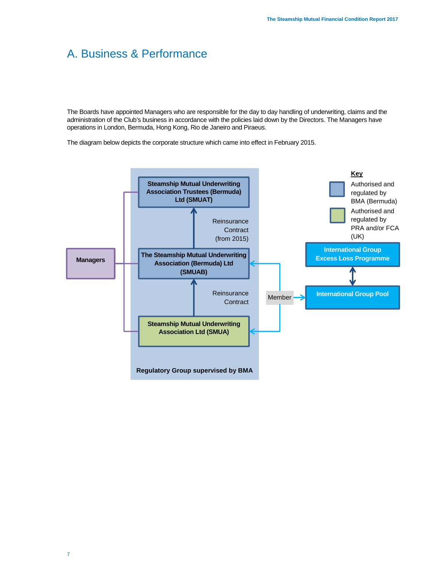The Boards have appointed Managers who are responsible for the day to day handling of underwriting, claims and the administration of the Club's business in accordance with the policies laid down by the Directors. The Managers have operations in London, Bermuda, Hong Kong, Rio de Janeiro and Piraeus.

The diagram below depicts the corporate structure which came into effect in February 2015.

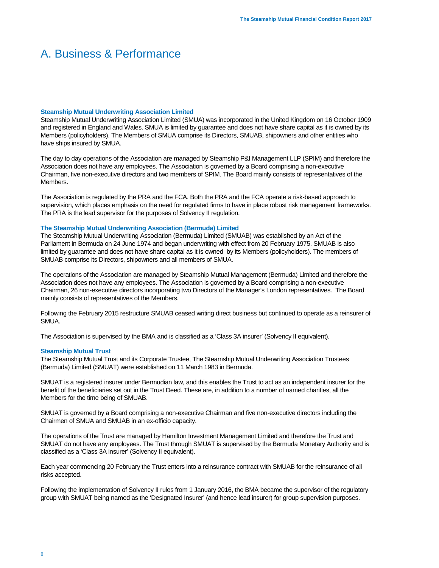#### **Steamship Mutual Underwriting Association Limited**

Steamship Mutual Underwriting Association Limited (SMUA) was incorporated in the United Kingdom on 16 October 1909 and registered in England and Wales. SMUA is limited by guarantee and does not have share capital as it is owned by its Members (policyholders). The Members of SMUA comprise its Directors, SMUAB, shipowners and other entities who have ships insured by SMUA.

The day to day operations of the Association are managed by Steamship P&I Management LLP (SPIM) and therefore the Association does not have any employees. The Association is governed by a Board comprising a non-executive Chairman, five non-executive directors and two members of SPIM. The Board mainly consists of representatives of the Members.

The Association is regulated by the PRA and the FCA. Both the PRA and the FCA operate a risk-based approach to supervision, which places emphasis on the need for regulated firms to have in place robust risk management frameworks. The PRA is the lead supervisor for the purposes of Solvency II regulation.

## **The Steamship Mutual Underwriting Association (Bermuda) Limited**

The Steamship Mutual Underwriting Association (Bermuda) Limited (SMUAB) was established by an Act of the Parliament in Bermuda on 24 June 1974 and began underwriting with effect from 20 February 1975. SMUAB is also limited by guarantee and does not have share capital as it is owned by its Members (policyholders). The members of SMUAB comprise its Directors, shipowners and all members of SMUA.

The operations of the Association are managed by Steamship Mutual Management (Bermuda) Limited and therefore the Association does not have any employees. The Association is governed by a Board comprising a non-executive Chairman, 26 non-executive directors incorporating two Directors of the Manager's London representatives. The Board mainly consists of representatives of the Members.

Following the February 2015 restructure SMUAB ceased writing direct business but continued to operate as a reinsurer of SMUA.

The Association is supervised by the BMA and is classified as a 'Class 3A insurer' (Solvency II equivalent).

## **Steamship Mutual Trust**

The Steamship Mutual Trust and its Corporate Trustee, The Steamship Mutual Underwriting Association Trustees (Bermuda) Limited (SMUAT) were established on 11 March 1983 in Bermuda.

SMUAT is a registered insurer under Bermudian law, and this enables the Trust to act as an independent insurer for the benefit of the beneficiaries set out in the Trust Deed. These are, in addition to a number of named charities, all the Members for the time being of SMUAB.

SMUAT is governed by a Board comprising a non-executive Chairman and five non-executive directors including the Chairmen of SMUA and SMUAB in an ex-officio capacity.

The operations of the Trust are managed by Hamilton Investment Management Limited and therefore the Trust and SMUAT do not have any employees. The Trust through SMUAT is supervised by the Bermuda Monetary Authority and is classified as a 'Class 3A insurer' (Solvency II equivalent).

Each year commencing 20 February the Trust enters into a reinsurance contract with SMUAB for the reinsurance of all risks accepted.

Following the implementation of Solvency II rules from 1 January 2016, the BMA became the supervisor of the regulatory group with SMUAT being named as the 'Designated Insurer' (and hence lead insurer) for group supervision purposes.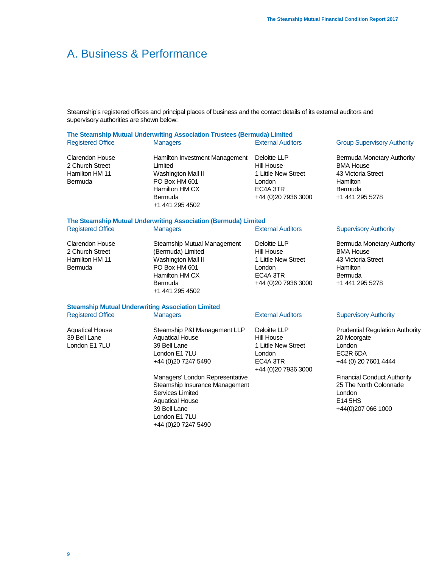Steamship's registered offices and principal places of business and the contact details of its external auditors and supervisory authorities are shown below:

## **The Steamship Mutual Underwriting Association Trustees (Bermuda) Limited** Registered Office **Managers** Managers **External Auditors** Group Supervisory Authority

Clarendon House 2 Church Street Hamilton HM 11 Bermuda

Hamilton Investment Management Limited Washington Mall II PO Box HM 601 Hamilton HM CX Bermuda +1 441 295 4502

Deloitte LLP Hill House 1 Little New Street London EC4A 3TR +44 (0)20 7936 3000

Bermuda Monetary Authority BMA House 43 Victoria Street Hamilton Bermuda +1 441 295 5278

## **The Steamship Mutual Underwriting Association (Bermuda) Limited** Registered Office **Managers** Managers **External Auditors** Supervisory Authority

Clarendon House 2 Church Street Hamilton HM 11 Bermuda Steamship Mutual Management (Bermuda) Limited Washington Mall II PO Box HM 601 Hamilton HM CX Bermuda +1 441 295 4502 Deloitte LLP Hill House 1 Little New Street London EC4A 3TR +44 (0)20 7936 3000 Bermuda Monetary Authority BMA House 43 Victoria Street **Hamilton Bermuda** +1 441 295 5278

## **Steamship Mutual Underwriting Association Limited**

Registered Office **Managers** Managers **External Auditors** Supervisory Authority

Aquatical House 39 Bell Lane London E1 7LU

Steamship P&I Management LLP Aquatical House 39 Bell Lane London E1 7LU +44 (0)20 7247 5490

Managers' London Representative Steamship Insurance Management Services Limited Aquatical House 39 Bell Lane London E1 7LU +44 (0)20 7247 5490

Deloitte LLP Hill House 1 Little New Street London EC4A 3TR +44 (0)20 7936 3000

Prudential Regulation Authority 20 Moorgate London EC2R 6DA +44 (0) 20 7601 4444

Financial Conduct Authority 25 The North Colonnade London E14 5HS +44(0)207 066 1000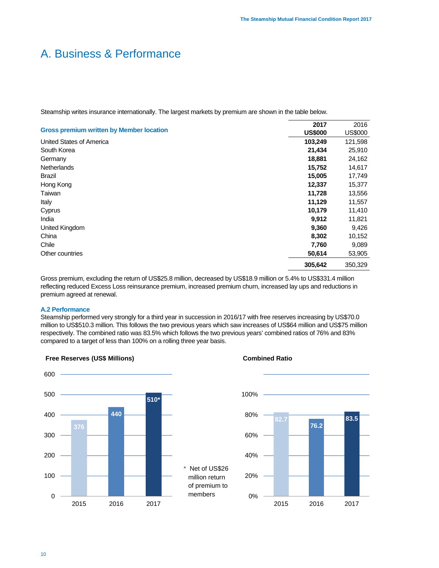Steamship writes insurance internationally. The largest markets by premium are shown in the table below.

|                                                 | 2017           | 2016           |
|-------------------------------------------------|----------------|----------------|
| <b>Gross premium written by Member location</b> | <b>US\$000</b> | <b>US\$000</b> |
| United States of America                        | 103,249        | 121,598        |
| South Korea                                     | 21,434         | 25,910         |
| Germany                                         | 18,881         | 24,162         |
| <b>Netherlands</b>                              | 15,752         | 14,617         |
| Brazil                                          | 15,005         | 17,749         |
| Hong Kong                                       | 12,337         | 15,377         |
| Taiwan                                          | 11,728         | 13,556         |
| Italy                                           | 11,129         | 11,557         |
| Cyprus                                          | 10,179         | 11,410         |
| India                                           | 9,912          | 11,821         |
| United Kingdom                                  | 9,360          | 9,426          |
| China                                           | 8,302          | 10,152         |
| Chile                                           | 7,760          | 9,089          |
| Other countries                                 | 50,614         | 53,905         |
|                                                 | 305,642        | 350,329        |

Gross premium, excluding the return of US\$25.8 million, decreased by US\$18.9 million or 5.4% to US\$331.4 million reflecting reduced Excess Loss reinsurance premium, increased premium churn, increased lay ups and reductions in premium agreed at renewal.

## **A.2 Performance**

Steamship performed very strongly for a third year in succession in 2016/17 with free reserves increasing by US\$70.0 million to US\$510.3 million. This follows the two previous years which saw increases of US\$64 million and US\$75 million respectively. The combined ratio was 83.5% which follows the two previous years' combined ratios of 76% and 83% compared to a target of less than 100% on a rolling three year basis.

> \* Net of US\$26 million return of premium to members





**Combined Ratio**

## **Free Reserves (US\$ Millions)**

## 10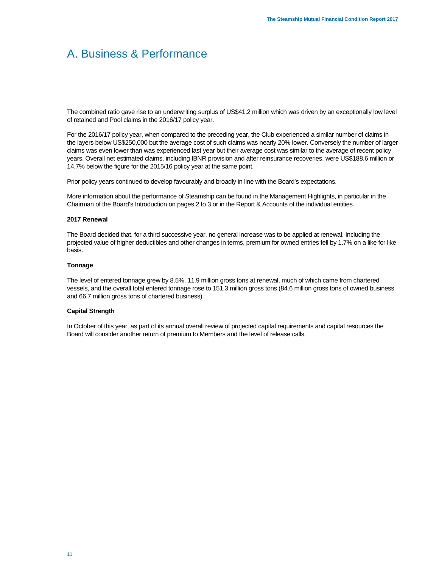The combined ratio gave rise to an underwriting surplus of US\$41.2 million which was driven by an exceptionally low level of retained and Pool claims in the 2016/17 policy year.

For the 2016/17 policy year, when compared to the preceding year, the Club experienced a similar number of claims in the layers below US\$250,000 but the average cost of such claims was nearly 20% lower. Conversely the number of larger claims was even lower than was experienced last year but their average cost was similar to the average of recent policy years. Overall net estimated claims, including IBNR provision and after reinsurance recoveries, were US\$188.6 million or 14.7% below the figure for the 2015/16 policy year at the same point.

Prior policy years continued to develop favourably and broadly in line with the Board's expectations.

More information about the performance of Steamship can be found in the Management Highlights, in particular in the Chairman of the Board's Introduction on pages 2 to 3 or in the Report & Accounts of the individual entities.

## **2017 Renewal**

The Board decided that, for a third successive year, no general increase was to be applied at renewal. Including the projected value of higher deductibles and other changes in terms, premium for owned entries fell by 1.7% on a like for like basis.

## **Tonnage**

The level of entered tonnage grew by 8.5%, 11.9 million gross tons at renewal, much of which came from chartered vessels, and the overall total entered tonnage rose to 151.3 million gross tons (84.6 million gross tons of owned business and 66.7 million gross tons of chartered business).

## **Capital Strength**

In October of this year, as part of its annual overall review of projected capital requirements and capital resources the Board will consider another return of premium to Members and the level of release calls.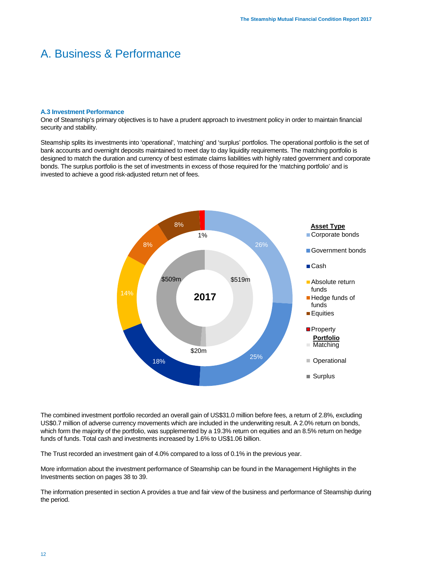#### **A.3 Investment Performance**

One of Steamship's primary objectives is to have a prudent approach to investment policy in order to maintain financial security and stability.

Steamship splits its investments into 'operational', 'matching' and 'surplus' portfolios. The operational portfolio is the set of bank accounts and overnight deposits maintained to meet day to day liquidity requirements. The matching portfolio is designed to match the duration and currency of best estimate claims liabilities with highly rated government and corporate bonds. The surplus portfolio is the set of investments in excess of those required for the 'matching portfolio' and is invested to achieve a good risk-adjusted return net of fees.



The combined investment portfolio recorded an overall gain of US\$31.0 million before fees, a return of 2.8%, excluding US\$0.7 million of adverse currency movements which are included in the underwriting result. A 2.0% return on bonds, which form the majority of the portfolio, was supplemented by a 19.3% return on equities and an 8.5% return on hedge funds of funds. Total cash and investments increased by 1.6% to US\$1.06 billion.

The Trust recorded an investment gain of 4.0% compared to a loss of 0.1% in the previous year.

More information about the investment performance of Steamship can be found in the Management Highlights in the Investments section on pages 38 to 39.

The information presented in section A provides a true and fair view of the business and performance of Steamship during the period.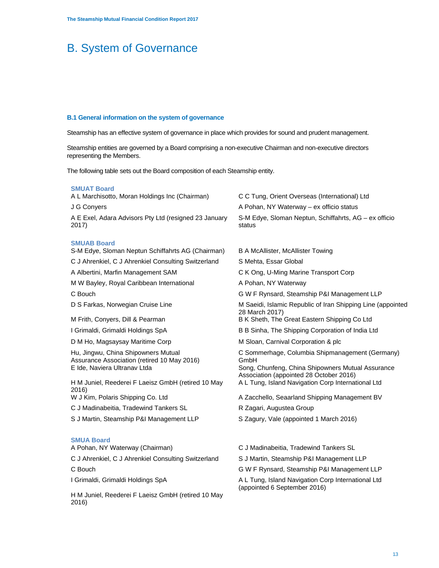## **B.1 General information on the system of governance**

2016)

Steamship has an effective system of governance in place which provides for sound and prudent management.

Steamship entities are governed by a Board comprising a non-executive Chairman and non-executive directors representing the Members.

The following table sets out the Board composition of each Steamship entity.

| <b>SMUAT Board</b>                                                                                                 |                                                                                                                                                         |
|--------------------------------------------------------------------------------------------------------------------|---------------------------------------------------------------------------------------------------------------------------------------------------------|
| A L Marchisotto, Moran Holdings Inc (Chairman)                                                                     | C C Tung, Orient Overseas (International) Ltd                                                                                                           |
| J G Conyers                                                                                                        | A Pohan, NY Waterway – ex officio status                                                                                                                |
| A E Exel, Adara Advisors Pty Ltd (resigned 23 January<br>2017)                                                     | S-M Edye, Sloman Neptun, Schiffahrts, AG - ex officio<br>status                                                                                         |
| <b>SMUAB Board</b><br>S-M Edye, Sloman Neptun Schiffahrts AG (Chairman)                                            | <b>B A McAllister, McAllister Towing</b>                                                                                                                |
| C J Ahrenkiel, C J Ahrenkiel Consulting Switzerland                                                                | S Mehta, Essar Global                                                                                                                                   |
| A Albertini, Marfin Management SAM                                                                                 | C K Ong, U-Ming Marine Transport Corp                                                                                                                   |
| M W Bayley, Royal Caribbean International                                                                          | A Pohan, NY Waterway                                                                                                                                    |
| C Bouch                                                                                                            | G W F Rynsard, Steamship P&I Management LLP                                                                                                             |
| D S Farkas, Norwegian Cruise Line                                                                                  | M Saeidi, Islamic Republic of Iran Shipping Line (appointed<br>28 March 2017)                                                                           |
| M Frith, Conyers, Dill & Pearman                                                                                   | B K Sheth, The Great Eastern Shipping Co Ltd                                                                                                            |
| I Grimaldi, Grimaldi Holdings SpA                                                                                  | B B Sinha, The Shipping Corporation of India Ltd                                                                                                        |
| D M Ho, Magsaysay Maritime Corp                                                                                    | M Sloan, Carnival Corporation & plc                                                                                                                     |
| Hu, Jingwu, China Shipowners Mutual<br>Assurance Association (retired 10 May 2016)<br>E Ide, Naviera Ultranav Ltda | C Sommerhage, Columbia Shipmanagement (Germany)<br>GmbH<br>Song, Chunfeng, China Shipowners Mutual Assurance<br>Association (appointed 28 October 2016) |
| H M Juniel, Reederei F Laeisz GmbH (retired 10 May<br>2016)                                                        | A L Tung, Island Navigation Corp International Ltd                                                                                                      |
| W J Kim, Polaris Shipping Co. Ltd                                                                                  | A Zacchello, Seaarland Shipping Management BV                                                                                                           |
| C J Madinabeitia, Tradewind Tankers SL                                                                             | R Zagari, Augustea Group                                                                                                                                |
| S J Martin, Steamship P&I Management LLP                                                                           | S Zagury, Vale (appointed 1 March 2016)                                                                                                                 |
| <b>SMUA Board</b><br>A Pohan, NY Waterway (Chairman)                                                               | C J Madinabeitia, Tradewind Tankers SL                                                                                                                  |
| C J Ahrenkiel, C J Ahrenkiel Consulting Switzerland                                                                | S J Martin, Steamship P&I Management LLP                                                                                                                |
| C Bouch                                                                                                            | G W F Rynsard, Steamship P&I Management LLP                                                                                                             |
| I Grimaldi, Grimaldi Holdings SpA                                                                                  | A L Tung, Island Navigation Corp International Ltd<br>(appointed 6 September 2016)                                                                      |
| H M Juniel, Reederei F Laeisz GmbH (retired 10 May                                                                 |                                                                                                                                                         |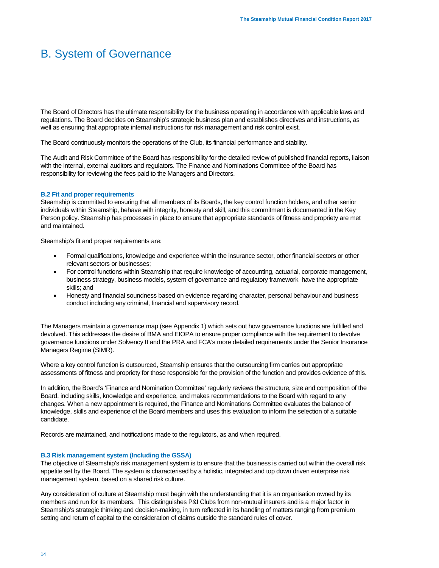The Board of Directors has the ultimate responsibility for the business operating in accordance with applicable laws and regulations. The Board decides on Steamship's strategic business plan and establishes directives and instructions, as well as ensuring that appropriate internal instructions for risk management and risk control exist.

The Board continuously monitors the operations of the Club, its financial performance and stability.

The Audit and Risk Committee of the Board has responsibility for the detailed review of published financial reports, liaison with the internal, external auditors and regulators. The Finance and Nominations Committee of the Board has responsibility for reviewing the fees paid to the Managers and Directors.

## **B.2 Fit and proper requirements**

Steamship is committed to ensuring that all members of its Boards, the key control function holders, and other senior individuals within Steamship, behave with integrity, honesty and skill, and this commitment is documented in the Key Person policy. Steamship has processes in place to ensure that appropriate standards of fitness and propriety are met and maintained.

Steamship's fit and proper requirements are:

- Formal qualifications, knowledge and experience within the insurance sector, other financial sectors or other relevant sectors or businesses;
- For control functions within Steamship that require knowledge of accounting, actuarial, corporate management, business strategy, business models, system of governance and regulatory framework have the appropriate skills; and
- Honesty and financial soundness based on evidence regarding character, personal behaviour and business conduct including any criminal, financial and supervisory record.

The Managers maintain a governance map (see Appendix 1) which sets out how governance functions are fulfilled and devolved. This addresses the desire of BMA and EIOPA to ensure proper compliance with the requirement to devolve governance functions under Solvency II and the PRA and FCA's more detailed requirements under the Senior Insurance Managers Regime (SIMR).

Where a key control function is outsourced, Steamship ensures that the outsourcing firm carries out appropriate assessments of fitness and propriety for those responsible for the provision of the function and provides evidence of this.

In addition, the Board's 'Finance and Nomination Committee' regularly reviews the structure, size and composition of the Board, including skills, knowledge and experience, and makes recommendations to the Board with regard to any changes. When a new appointment is required, the Finance and Nominations Committee evaluates the balance of knowledge, skills and experience of the Board members and uses this evaluation to inform the selection of a suitable candidate.

Records are maintained, and notifications made to the regulators, as and when required.

## **B.3 Risk management system (Including the GSSA)**

The objective of Steamship's risk management system is to ensure that the business is carried out within the overall risk appetite set by the Board. The system is characterised by a holistic, integrated and top down driven enterprise risk management system, based on a shared risk culture.

Any consideration of culture at Steamship must begin with the understanding that it is an organisation owned by its members and run for its members. This distinguishes P&I Clubs from non-mutual insurers and is a major factor in Steamship's strategic thinking and decision-making, in turn reflected in its handling of matters ranging from premium setting and return of capital to the consideration of claims outside the standard rules of cover.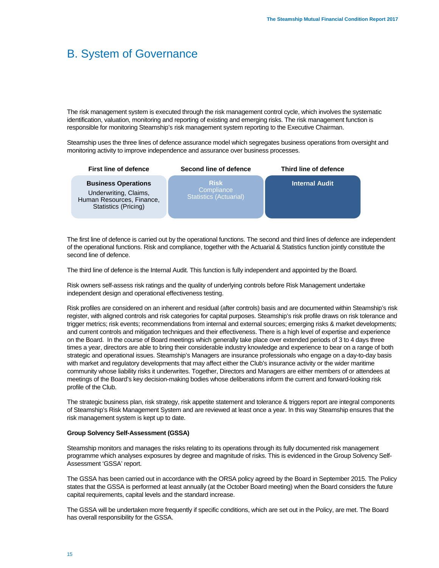The risk management system is executed through the risk management control cycle, which involves the systematic identification, valuation, monitoring and reporting of existing and emerging risks. The risk management function is responsible for monitoring Steamship's risk management system reporting to the Executive Chairman.

Steamship uses the three lines of defence assurance model which segregates business operations from oversight and monitoring activity to improve independence and assurance over business processes.

| <b>First line of defence</b>                                                                             | Second line of defence                                     | Third line of defence |
|----------------------------------------------------------------------------------------------------------|------------------------------------------------------------|-----------------------|
| <b>Business Operations</b><br>Underwriting, Claims,<br>Human Resources, Finance,<br>Statistics (Pricing) | <b>Risk</b><br>Compliance<br><b>Statistics (Actuarial)</b> | <b>Internal Audit</b> |

The first line of defence is carried out by the operational functions. The second and third lines of defence are independent of the operational functions. Risk and compliance, together with the Actuarial & Statistics function jointly constitute the second line of defence.

The third line of defence is the Internal Audit. This function is fully independent and appointed by the Board.

Risk owners self-assess risk ratings and the quality of underlying controls before Risk Management undertake independent design and operational effectiveness testing.

Risk profiles are considered on an inherent and residual (after controls) basis and are documented within Steamship's risk register, with aligned controls and risk categories for capital purposes. Steamship's risk profile draws on risk tolerance and trigger metrics; risk events; recommendations from internal and external sources; emerging risks & market developments; and current controls and mitigation techniques and their effectiveness. There is a high level of expertise and experience on the Board. In the course of Board meetings which generally take place over extended periods of 3 to 4 days three times a year, directors are able to bring their considerable industry knowledge and experience to bear on a range of both strategic and operational issues. Steamship's Managers are insurance professionals who engage on a day-to-day basis with market and regulatory developments that may affect either the Club's insurance activity or the wider maritime community whose liability risks it underwrites. Together, Directors and Managers are either members of or attendees at meetings of the Board's key decision-making bodies whose deliberations inform the current and forward-looking risk profile of the Club.

The strategic business plan, risk strategy, risk appetite statement and tolerance & triggers report are integral components of Steamship's Risk Management System and are reviewed at least once a year. In this way Steamship ensures that the risk management system is kept up to date.

## **Group Solvency Self-Assessment (GSSA)**

Steamship monitors and manages the risks relating to its operations through its fully documented risk management programme which analyses exposures by degree and magnitude of risks. This is evidenced in the Group Solvency Self-Assessment 'GSSA' report.

The GSSA has been carried out in accordance with the ORSA policy agreed by the Board in September 2015. The Policy states that the GSSA is performed at least annually (at the October Board meeting) when the Board considers the future capital requirements, capital levels and the standard increase.

The GSSA will be undertaken more frequently if specific conditions, which are set out in the Policy, are met. The Board has overall responsibility for the GSSA.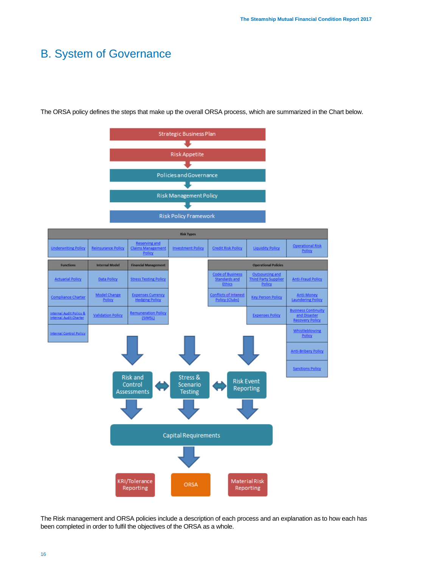

The ORSA policy defines the steps that make up the overall ORSA process, which are summarized in the Chart below.

The Risk management and ORSA policies include a description of each process and an explanation as to how each has been completed in order to fulfil the objectives of the ORSA as a whole.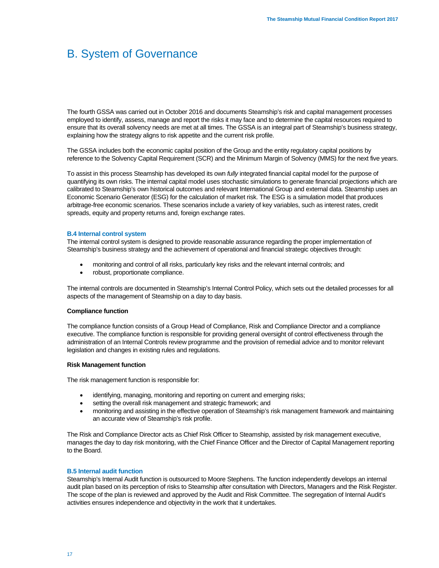The fourth GSSA was carried out in October 2016 and documents Steamship's risk and capital management processes employed to identify, assess, manage and report the risks it may face and to determine the capital resources required to ensure that its overall solvency needs are met at all times. The GSSA is an integral part of Steamship's business strategy, explaining how the strategy aligns to risk appetite and the current risk profile.

The GSSA includes both the economic capital position of the Group and the entity regulatory capital positions by reference to the Solvency Capital Requirement (SCR) and the Minimum Margin of Solvency (MMS) for the next five years.

To assist in this process Steamship has developed its own *fully* integrated financial capital model for the purpose of quantifying its own risks. The internal capital model uses stochastic simulations to generate financial projections which are calibrated to Steamship's own historical outcomes and relevant International Group and external data. Steamship uses an Economic Scenario Generator (ESG) for the calculation of market risk. The ESG is a simulation model that produces arbitrage-free economic scenarios. These scenarios include a variety of key variables, such as interest rates, credit spreads, equity and property returns and, foreign exchange rates.

## **B.4 Internal control system**

The internal control system is designed to provide reasonable assurance regarding the proper implementation of Steamship's business strategy and the achievement of operational and financial strategic objectives through:

- monitoring and control of all risks, particularly key risks and the relevant internal controls; and
- robust, proportionate compliance.

The internal controls are documented in Steamship's Internal Control Policy, which sets out the detailed processes for all aspects of the management of Steamship on a day to day basis.

## **Compliance function**

The compliance function consists of a Group Head of Compliance, Risk and Compliance Director and a compliance executive. The compliance function is responsible for providing general oversight of control effectiveness through the administration of an Internal Controls review programme and the provision of remedial advice and to monitor relevant legislation and changes in existing rules and regulations.

## **Risk Management function**

The risk management function is responsible for:

- identifying, managing, monitoring and reporting on current and emerging risks;
- setting the overall risk management and strategic framework; and
- monitoring and assisting in the effective operation of Steamship's risk management framework and maintaining an accurate view of Steamship's risk profile.

The Risk and Compliance Director acts as Chief Risk Officer to Steamship, assisted by risk management executive, manages the day to day risk monitoring, with the Chief Finance Officer and the Director of Capital Management reporting to the Board.

## **B.5 Internal audit function**

Steamship's Internal Audit function is outsourced to Moore Stephens. The function independently develops an internal audit plan based on its perception of risks to Steamship after consultation with Directors, Managers and the Risk Register. The scope of the plan is reviewed and approved by the Audit and Risk Committee. The segregation of Internal Audit's activities ensures independence and objectivity in the work that it undertakes.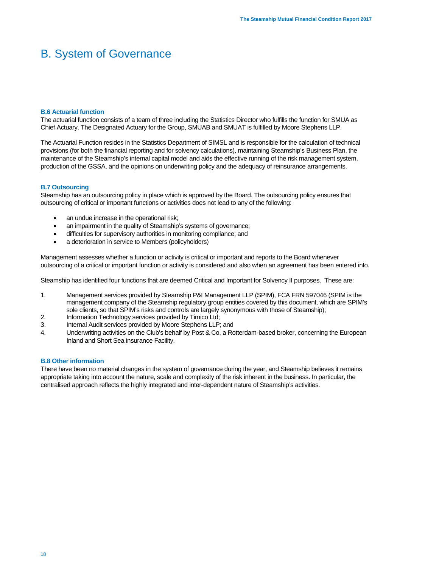## **B.6 Actuarial function**

The actuarial function consists of a team of three including the Statistics Director who fulfills the function for SMUA as Chief Actuary. The Designated Actuary for the Group, SMUAB and SMUAT is fulfilled by Moore Stephens LLP.

The Actuarial Function resides in the Statistics Department of SIMSL and is responsible for the calculation of technical provisions (for both the financial reporting and for solvency calculations), maintaining Steamship's Business Plan, the maintenance of the Steamship's internal capital model and aids the effective running of the risk management system, production of the GSSA, and the opinions on underwriting policy and the adequacy of reinsurance arrangements.

## **B.7 Outsourcing**

Steamship has an outsourcing policy in place which is approved by the Board. The outsourcing policy ensures that outsourcing of critical or important functions or activities does not lead to any of the following:

- an undue increase in the operational risk;
- an impairment in the quality of Steamship's systems of governance;
- difficulties for supervisory authorities in monitoring compliance; and
- a deterioration in service to Members (policyholders)

Management assesses whether a function or activity is critical or important and reports to the Board whenever outsourcing of a critical or important function or activity is considered and also when an agreement has been entered into.

Steamship has identified four functions that are deemed Critical and Important for Solvency II purposes. These are:

- 1. Management services provided by Steamship P&I Management LLP (SPIM), FCA FRN 597046 (SPIM is the management company of the Steamship regulatory group entities covered by this document, which are SPIM's sole clients, so that SPIM's risks and controls are largely synonymous with those of Steamship);
- 2. Information Technology services provided by Timico Ltd;
- 3. Internal Audit services provided by Moore Stephens LLP; and
- 4. Underwriting activities on the Club's behalf by Post & Co, a Rotterdam-based broker, concerning the European Inland and Short Sea insurance Facility.

## **B.8 Other information**

There have been no material changes in the system of governance during the year, and Steamship believes it remains appropriate taking into account the nature, scale and complexity of the risk inherent in the business. In particular, the centralised approach reflects the highly integrated and inter-dependent nature of Steamship's activities.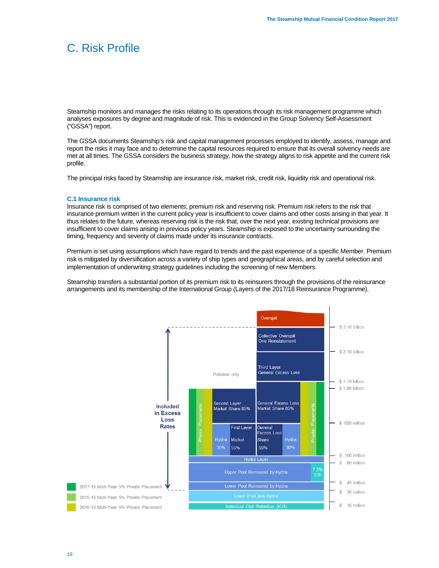## C. Risk Profile

Steamship monitors and manages the risks relating to its operations through its risk management programme which analyses exposures by degree and magnitude of risk. This is evidenced in the Group Solvency Self-Assessment ("GSSA") report.

The GSSA documents Steamship's risk and capital management processes employed to identify, assess, manage and report the risks it may face and to determine the capital resources required to ensure that its overall solvency needs are met at all times. The GSSA considers the business strategy, how the strategy aligns to risk appetite and the current risk profile.

The principal risks faced by Steamship are insurance risk, market risk, credit risk, liquidity risk and operational risk.

#### **C.1 Insurance risk**

Insurance risk is comprised of two elements; premium risk and reserving risk. Premium risk refers to the risk that insurance premium written in the current policy year is insufficient to cover claims and other costs arising in that year. It thus relates to the future, whereas reserving risk is the risk that, over the next year, existing technical provisions are insufficient to cover claims arising in previous policy years. Steamship is exposed to the uncertainty surrounding the timing, frequency and severity of claims made under its insurance contracts.

Premium is set using assumptions which have regard to trends and the past experience of a specific Member. Premium risk is mitigated by diversification across a variety of ship types and geographical areas, and by careful selection and implementation of underwriting strategy guidelines including the screening of new Members.

Steamship transfers a substantial portion of its premium risk to its reinsurers through the provisions of the reinsurance arrangements and its membership of the International Group (Layers of the 2017/18 Reinsurance Programme).

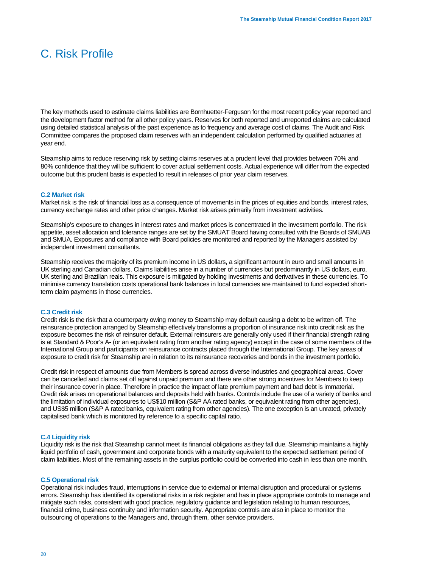## C. Risk Profile

The key methods used to estimate claims liabilities are Bornhuetter-Ferguson for the most recent policy year reported and the development factor method for all other policy years. Reserves for both reported and unreported claims are calculated using detailed statistical analysis of the past experience as to frequency and average cost of claims. The Audit and Risk Committee compares the proposed claim reserves with an independent calculation performed by qualified actuaries at year end.

Steamship aims to reduce reserving risk by setting claims reserves at a prudent level that provides between 70% and 80% confidence that they will be sufficient to cover actual settlement costs. Actual experience will differ from the expected outcome but this prudent basis is expected to result in releases of prior year claim reserves.

#### **C.2 Market risk**

Market risk is the risk of financial loss as a consequence of movements in the prices of equities and bonds, interest rates, currency exchange rates and other price changes. Market risk arises primarily from investment activities.

Steamship's exposure to changes in interest rates and market prices is concentrated in the investment portfolio. The risk appetite, asset allocation and tolerance ranges are set by the SMUAT Board having consulted with the Boards of SMUAB and SMUA. Exposures and compliance with Board policies are monitored and reported by the Managers assisted by independent investment consultants.

Steamship receives the majority of its premium income in US dollars, a significant amount in euro and small amounts in UK sterling and Canadian dollars. Claims liabilities arise in a number of currencies but predominantly in US dollars, euro, UK sterling and Brazilian reals. This exposure is mitigated by holding investments and derivatives in these currencies. To minimise currency translation costs operational bank balances in local currencies are maintained to fund expected shortterm claim payments in those currencies.

## **C.3 Credit risk**

Credit risk is the risk that a counterparty owing money to Steamship may default causing a debt to be written off. The reinsurance protection arranged by Steamship effectively transforms a proportion of insurance risk into credit risk as the exposure becomes the risk of reinsurer default. External reinsurers are generally only used if their financial strength rating is at Standard & Poor's A- (or an equivalent rating from another rating agency) except in the case of some members of the International Group and participants on reinsurance contracts placed through the International Group. The key areas of exposure to credit risk for Steamship are in relation to its reinsurance recoveries and bonds in the investment portfolio.

Credit risk in respect of amounts due from Members is spread across diverse industries and geographical areas. Cover can be cancelled and claims set off against unpaid premium and there are other strong incentives for Members to keep their insurance cover in place. Therefore in practice the impact of late premium payment and bad debt is immaterial. Credit risk arises on operational balances and deposits held with banks. Controls include the use of a variety of banks and the limitation of individual exposures to US\$10 million (S&P AA rated banks, or equivalent rating from other agencies), and US\$5 million (S&P A rated banks, equivalent rating from other agencies). The one exception is an unrated, privately capitalised bank which is monitored by reference to a specific capital ratio.

## **C.4 Liquidity risk**

Liquidity risk is the risk that Steamship cannot meet its financial obligations as they fall due. Steamship maintains a highly liquid portfolio of cash, government and corporate bonds with a maturity equivalent to the expected settlement period of claim liabilities. Most of the remaining assets in the surplus portfolio could be converted into cash in less than one month.

#### **C.5 Operational risk**

Operational risk includes fraud, interruptions in service due to external or internal disruption and procedural or systems errors. Steamship has identified its operational risks in a risk register and has in place appropriate controls to manage and mitigate such risks, consistent with good practice, regulatory guidance and legislation relating to human resources, financial crime, business continuity and information security. Appropriate controls are also in place to monitor the outsourcing of operations to the Managers and, through them, other service providers.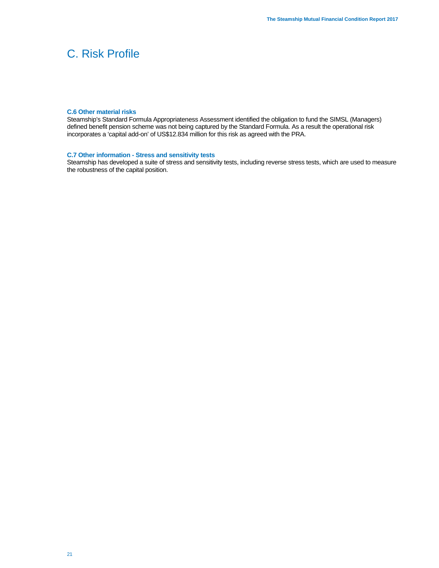## C. Risk Profile

#### **C.6 Other material risks**

Steamship's Standard Formula Appropriateness Assessment identified the obligation to fund the SIMSL (Managers) defined benefit pension scheme was not being captured by the Standard Formula. As a result the operational risk incorporates a 'capital add-on' of US\$12.834 million for this risk as agreed with the PRA.

## **C.7 Other information - Stress and sensitivity tests**

Steamship has developed a suite of stress and sensitivity tests, including reverse stress tests, which are used to measure the robustness of the capital position.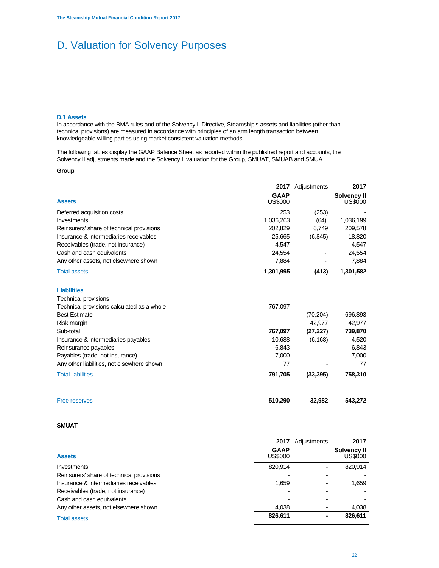#### **D.1 Assets**

In accordance with the BMA rules and of the Solvency II Directive, Steamship's assets and liabilities (other than technical provisions) are measured in accordance with principles of an arm length transaction between knowledgeable willing parties using market consistent valuation methods.

The following tables display the GAAP Balance Sheet as reported within the published report and accounts, the Solvency II adjustments made and the Solvency II valuation for the Group, SMUAT, SMUAB and SMUA.

#### **Group**

|                                            | 2017           | Adjustments | 2017               |
|--------------------------------------------|----------------|-------------|--------------------|
|                                            | <b>GAAP</b>    |             | <b>Solvency II</b> |
| <b>Assets</b>                              | <b>US\$000</b> |             | <b>US\$000</b>     |
| Deferred acquisition costs                 | 253            | (253)       |                    |
| Investments                                | 1,036,263      | (64)        | 1,036,199          |
| Reinsurers' share of technical provisions  | 202,829        | 6,749       | 209,578            |
| Insurance & intermediaries receivables     | 25,665         | (6, 845)    | 18,820             |
| Receivables (trade, not insurance)         | 4,547          |             | 4,547              |
| Cash and cash equivalents                  | 24,554         |             | 24,554             |
| Any other assets, not elsewhere shown      | 7,884          |             | 7,884              |
| <b>Total assets</b>                        | 1,301,995      | (413)       | 1,301,582          |
| <b>Liabilities</b>                         |                |             |                    |
| <b>Technical provisions</b>                |                |             |                    |
| Technical provisions calculated as a whole | 767,097        |             |                    |
| <b>Best Estimate</b>                       |                | (70, 204)   | 696,893            |
| Risk margin                                |                | 42,977      | 42,977             |
| Sub-total                                  | 767,097        | (27, 227)   | 739,870            |
| Insurance & intermediaries payables        | 10,688         | (6, 168)    | 4,520              |
| Reinsurance payables                       | 6,843          |             | 6,843              |
| Payables (trade, not insurance)            | 7.000          |             | 7,000              |
| Any other liabilities, not elsewhere shown | 77             |             | 77                 |
| <b>Total liabilities</b>                   | 791,705        | (33, 395)   | 758,310            |
|                                            |                |             |                    |

## **SMUAT**

| <b>Assets</b>                             | 2017<br><b>GAAP</b><br><b>US\$000</b> | Adjustments | 2017<br>Solvency II<br><b>US\$000</b> |
|-------------------------------------------|---------------------------------------|-------------|---------------------------------------|
| Investments                               | 820.914                               |             | 820.914                               |
| Reinsurers' share of technical provisions |                                       |             |                                       |
| Insurance & intermediaries receivables    | 1,659                                 |             | 1,659                                 |
| Receivables (trade, not insurance)        |                                       |             |                                       |
| Cash and cash equivalents                 |                                       |             |                                       |
| Any other assets, not elsewhere shown     | 4.038                                 |             | 4,038                                 |
| <b>Total assets</b>                       | 826,611                               |             | 826,611                               |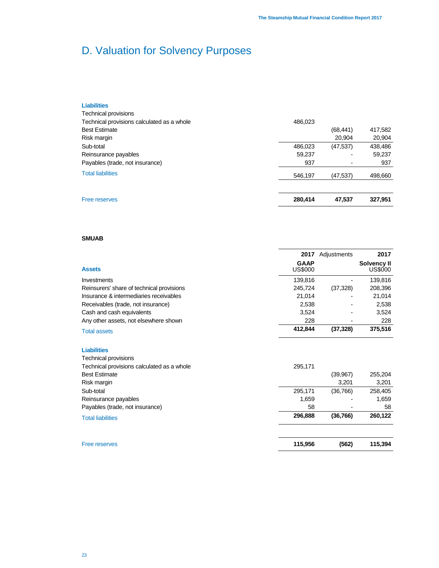| <b>Free reserves</b>                       | 280,414 | 47,537    | 327,951 |
|--------------------------------------------|---------|-----------|---------|
| <b>Total liabilities</b>                   | 546,197 | (47, 537) | 498,660 |
| Payables (trade, not insurance)            | 937     |           | 937     |
| Reinsurance payables                       | 59.237  |           | 59,237  |
| Sub-total                                  | 486,023 | (47, 537) | 438,486 |
| Risk margin                                |         | 20,904    | 20,904  |
| <b>Best Estimate</b>                       |         | (68, 441) | 417,582 |
| Technical provisions calculated as a whole | 486.023 |           |         |
| Technical provisions                       |         |           |         |
| <b>Liabilities</b>                         |         |           |         |

## **SMUAB**

|                                           | 2017                   | Adjustments              | 2017                   |
|-------------------------------------------|------------------------|--------------------------|------------------------|
| <b>Assets</b>                             | <b>GAAP</b><br>US\$000 |                          | Solvency II<br>US\$000 |
| Investments                               | 139.816                |                          | 139,816                |
| Reinsurers' share of technical provisions | 245.724                | (37, 328)                | 208,396                |
| Insurance & intermediaries receivables    | 21.014                 |                          | 21.014                 |
| Receivables (trade, not insurance)        | 2,538                  | $\overline{\phantom{a}}$ | 2,538                  |
| Cash and cash equivalents                 | 3,524                  |                          | 3,524                  |
| Any other assets, not elsewhere shown     | 228                    |                          | 228                    |
| <b>Total assets</b>                       | 412.844                | (37, 328)                | 375,516                |

#### **Liabilities**

| <b>Free reserves</b>                       | 115,956 | (562)     | 115,394 |
|--------------------------------------------|---------|-----------|---------|
| <b>Total liabilities</b>                   | 296,888 | (36,766)  | 260,122 |
| Payables (trade, not insurance)            | 58      |           | 58      |
| Reinsurance payables                       | 1,659   |           | 1,659   |
| Sub-total                                  | 295,171 | (36, 766) | 258,405 |
| Risk margin                                |         | 3,201     | 3,201   |
| <b>Best Estimate</b>                       |         | (39, 967) | 255,204 |
| Technical provisions calculated as a whole | 295,171 |           |         |
| <b>Technical provisions</b>                |         |           |         |
|                                            |         |           |         |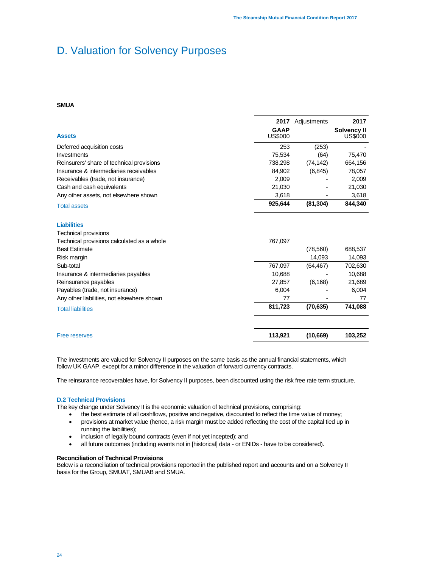## **SMUA**

|                                            | 2017           | Adjustments | 2017               |
|--------------------------------------------|----------------|-------------|--------------------|
|                                            | <b>GAAP</b>    |             | <b>Solvency II</b> |
| <b>Assets</b>                              | <b>US\$000</b> |             | US\$000            |
| Deferred acquisition costs                 | 253            | (253)       |                    |
| Investments                                | 75,534         | (64)        | 75,470             |
| Reinsurers' share of technical provisions  | 738,298        | (74, 142)   | 664,156            |
| Insurance & intermediaries receivables     | 84,902         | (6, 845)    | 78,057             |
| Receivables (trade, not insurance)         | 2,009          |             | 2,009              |
| Cash and cash equivalents                  | 21,030         |             | 21,030             |
| Any other assets, not elsewhere shown      | 3,618          |             | 3,618              |
| <b>Total assets</b>                        | 925,644        | (81, 304)   | 844,340            |
| <b>Liabilities</b>                         |                |             |                    |
| <b>Technical provisions</b>                |                |             |                    |
| Technical provisions calculated as a whole | 767,097        |             |                    |
| <b>Best Estimate</b>                       |                | (78, 560)   | 688,537            |
| Risk margin                                |                | 14,093      | 14,093             |
| Sub-total                                  | 767,097        | (64, 467)   | 702,630            |
| Insurance & intermediaries payables        | 10,688         |             | 10,688             |
| Reinsurance payables                       | 27,857         | (6, 168)    | 21,689             |
| Payables (trade, not insurance)            | 6.004          |             | 6.004              |
| Any other liabilities, not elsewhere shown | 77             |             | 77                 |
| <b>Total liabilities</b>                   | 811,723        | (70, 635)   | 741,088            |
| <b>Free reserves</b>                       | 113,921        | (10,669)    | 103,252            |

The investments are valued for Solvency II purposes on the same basis as the annual financial statements, which follow UK GAAP, except for a minor difference in the valuation of forward currency contracts.

The reinsurance recoverables have, for Solvency II purposes, been discounted using the risk free rate term structure.

## **D.2 Technical Provisions**

The key change under Solvency II is the economic valuation of technical provisions, comprising:

- the best estimate of all cashflows, positive and negative, discounted to reflect the time value of money;
- provisions at market value (hence, a risk margin must be added reflecting the cost of the capital tied up in running the liabilities);
- inclusion of legally bound contracts (even if not yet incepted); and
- all future outcomes (including events not in [historical] data or ENIDs have to be considered).

## **Reconciliation of Technical Provisions**

Below is a reconciliation of technical provisions reported in the published report and accounts and on a Solvency II basis for the Group, SMUAT, SMUAB and SMUA.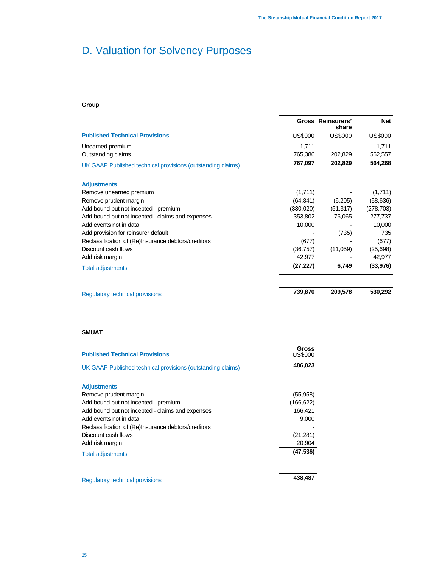## **Group**

|                                                             |                | <b>Gross Reinsurers'</b><br>share | <b>Net</b>     |
|-------------------------------------------------------------|----------------|-----------------------------------|----------------|
| <b>Published Technical Provisions</b>                       | <b>US\$000</b> | US\$000                           | <b>US\$000</b> |
| Unearned premium                                            | 1,711          |                                   | 1,711          |
| Outstanding claims                                          | 765,386        | 202,829                           | 562,557        |
| UK GAAP Published technical provisions (outstanding claims) | 767,097        | 202,829                           | 564,268        |
| <b>Adjustments</b>                                          |                |                                   |                |
| Remove unearned premium                                     | (1,711)        |                                   | (1,711)        |
| Remove prudent margin                                       | (64, 841)      | (6,205)                           | (58, 636)      |
| Add bound but not incepted - premium                        | (330,020)      | (51, 317)                         | (278, 703)     |
| Add bound but not incepted - claims and expenses            | 353,802        | 76,065                            | 277,737        |
| Add events not in data                                      | 10,000         |                                   | 10,000         |
| Add provision for reinsurer default                         |                | (735)                             | 735            |
| Reclassification of (Re)Insurance debtors/creditors         | (677)          |                                   | (677)          |
| Discount cash flows                                         | (36, 757)      | (11,059)                          | (25,698)       |
| Add risk margin                                             | 42,977         |                                   | 42,977         |
| <b>Total adjustments</b>                                    | (27, 227)      | 6,749                             | (33, 976)      |
| <b>Regulatory technical provisions</b>                      | 739,870        | 209,578                           | 530,292        |

## **SMUAT**

| <b>Published Technical Provisions</b>                       | Gross<br><b>US\$000</b> |
|-------------------------------------------------------------|-------------------------|
| UK GAAP Published technical provisions (outstanding claims) | 486,023                 |
| <b>Adjustments</b>                                          |                         |
| Remove prudent margin                                       | (55, 958)               |
| Add bound but not incepted - premium                        | (166, 622)              |
| Add bound but not incepted - claims and expenses            | 166,421                 |
| Add events not in data                                      | 9,000                   |
| Reclassification of (Re)Insurance debtors/creditors         |                         |
| Discount cash flows                                         | (21, 281)               |
| Add risk margin                                             | 20,904                  |
| <b>Total adjustments</b>                                    | (47, 536)               |
| <b>Requlatory technical provisions</b>                      | 438,487                 |
|                                                             |                         |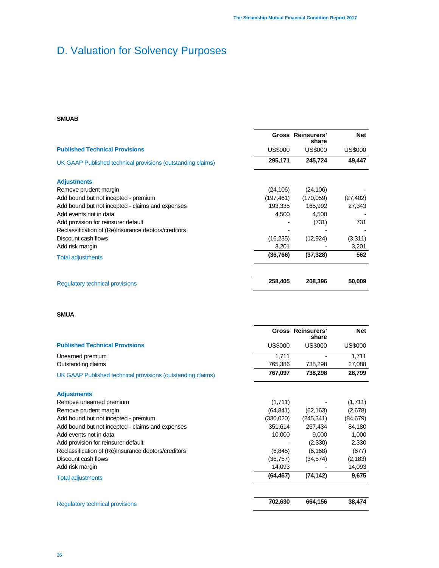## **SMUAB**

|                                                             |                | <b>Gross Reinsurers'</b><br>share | <b>Net</b>     |
|-------------------------------------------------------------|----------------|-----------------------------------|----------------|
| <b>Published Technical Provisions</b>                       | <b>US\$000</b> | <b>US\$000</b>                    | <b>US\$000</b> |
| UK GAAP Published technical provisions (outstanding claims) | 295,171        | 245,724                           | 49,447         |
| <b>Adjustments</b>                                          |                |                                   |                |
| Remove prudent margin                                       | (24, 106)      | (24, 106)                         |                |
| Add bound but not incepted - premium                        | (197, 461)     | (170.059)                         | (27, 402)      |
| Add bound but not incepted - claims and expenses            | 193,335        | 165,992                           | 27,343         |
| Add events not in data                                      | 4,500          | 4,500                             |                |
| Add provision for reinsurer default                         |                | (731)                             | 731            |
| Reclassification of (Re)Insurance debtors/creditors         |                |                                   |                |
| Discount cash flows                                         | (16, 235)      | (12, 924)                         | (3,311)        |
| Add risk margin                                             | 3,201          |                                   | 3,201          |
| <b>Total adjustments</b>                                    | (36, 766)      | (37, 328)                         | 562            |
|                                                             |                |                                   |                |
| <b>Regulatory technical provisions</b>                      | 258,405        | 208,396                           | 50,009         |

## **SMUA**

|                                                             |                | <b>Gross Reinsurers'</b><br>share | <b>Net</b> |
|-------------------------------------------------------------|----------------|-----------------------------------|------------|
| <b>Published Technical Provisions</b>                       | <b>US\$000</b> | <b>US\$000</b>                    | US\$000    |
| Unearned premium                                            | 1,711          |                                   | 1,711      |
| Outstanding claims                                          | 765,386        | 738,298                           | 27,088     |
| UK GAAP Published technical provisions (outstanding claims) | 767,097        | 738,298                           | 28,799     |
| <b>Adjustments</b>                                          |                |                                   |            |
| Remove unearned premium                                     | (1,711)        |                                   | (1,711)    |
| Remove prudent margin                                       | (64, 841)      | (62, 163)                         | (2,678)    |
| Add bound but not incepted - premium                        | (330,020)      | (245, 341)                        | (84, 679)  |
| Add bound but not incepted - claims and expenses            | 351,614        | 267,434                           | 84,180     |
| Add events not in data                                      | 10,000         | 9,000                             | 1,000      |
| Add provision for reinsurer default                         |                | (2,330)                           | 2,330      |
| Reclassification of (Re)Insurance debtors/creditors         | (6, 845)       | (6, 168)                          | (677)      |
| Discount cash flows                                         | (36, 757)      | (34, 574)                         | (2, 183)   |
| Add risk margin                                             | 14,093         |                                   | 14,093     |
| <b>Total adjustments</b>                                    | (64, 467)      | (74, 142)                         | 9,675      |
| <b>Requlatory technical provisions</b>                      | 702,630        | 664,156                           | 38,474     |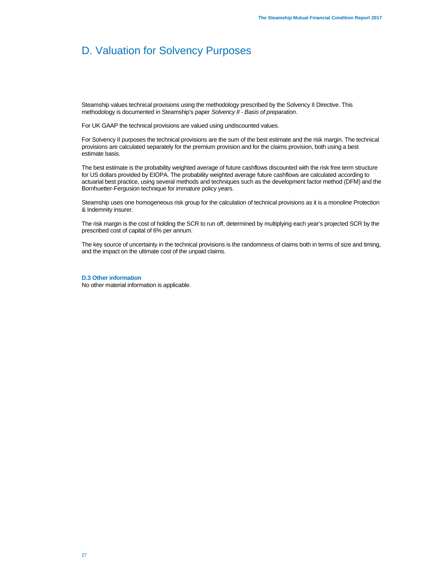Steamship values technical provisions using the methodology prescribed by the Solvency II Directive. This methodology is documented in Steamship's paper *Solvency II - Basis of preparation*.

For UK GAAP the technical provisions are valued using undiscounted values.

For Solvency II purposes the technical provisions are the sum of the best estimate and the risk margin. The technical provisions are calculated separately for the premium provision and for the claims provision, both using a best estimate basis.

The best estimate is the probability weighted average of future cashflows discounted with the risk free term structure for US dollars provided by EIOPA. The probability weighted average future cashflows are calculated according to actuarial best practice, using several methods and techniques such as the development factor method (DFM) and the Bornhuetter-Fergusion technique for immature policy years.

Steamship uses one homogeneous risk group for the calculation of technical provisions as it is a monoline Protection & Indemnity insurer.

The risk margin is the cost of holding the SCR to run off, determined by multiplying each year's projected SCR by the prescribed cost of capital of 6% per annum.

The key source of uncertainty in the technical provisions is the randomness of claims both in terms of size and timing, and the impact on the ultimate cost of the unpaid claims.

#### **D.3 Other information**

No other material information is applicable.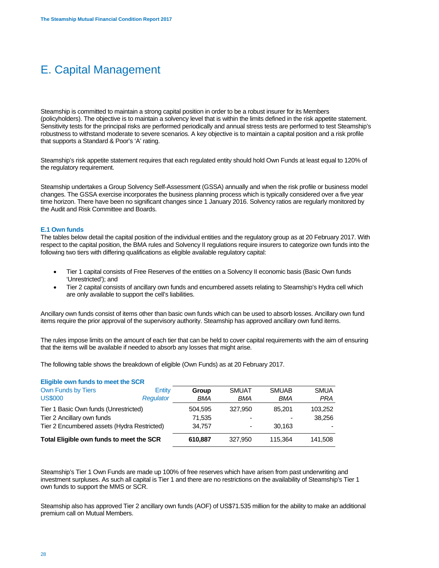## E. Capital Management

Steamship is committed to maintain a strong capital position in order to be a robust insurer for its Members (policyholders). The objective is to maintain a solvency level that is within the limits defined in the risk appetite statement. Sensitivity tests for the principal risks are performed periodically and annual stress tests are performed to test Steamship's robustness to withstand moderate to severe scenarios. A key objective is to maintain a capital position and a risk profile that supports a Standard & Poor's 'A' rating.

Steamship's risk appetite statement requires that each regulated entity should hold Own Funds at least equal to 120% of the regulatory requirement.

Steamship undertakes a Group Solvency Self-Assessment (GSSA) annually and when the risk profile or business model changes. The GSSA exercise incorporates the business planning process which is typically considered over a five year time horizon. There have been no significant changes since 1 January 2016. Solvency ratios are regularly monitored by the Audit and Risk Committee and Boards.

## **E.1 Own funds**

The tables below detail the capital position of the individual entities and the regulatory group as at 20 February 2017. With respect to the capital position, the BMA rules and Solvency II regulations require insurers to categorize own funds into the following two tiers with differing qualifications as eligible available regulatory capital:

- Tier 1 capital consists of Free Reserves of the entities on a Solvency II economic basis (Basic Own funds 'Unrestricted'); and
- Tier 2 capital consists of ancillary own funds and encumbered assets relating to Steamship's Hydra cell which are only available to support the cell's liabilities.

Ancillary own funds consist of items other than basic own funds which can be used to absorb losses. Ancillary own fund items require the prior approval of the supervisory authority. Steamship has approved ancillary own fund items.

The rules impose limits on the amount of each tier that can be held to cover capital requirements with the aim of ensuring that the items will be available if needed to absorb any losses that might arise.

The following table shows the breakdown of eligible (Own Funds) as at 20 February 2017.

| Eligible own funds to meet the SCR          |           |            |              |              |             |  |
|---------------------------------------------|-----------|------------|--------------|--------------|-------------|--|
| Own Funds by Tiers                          | Entity    | Group      | <b>SMUAT</b> | <b>SMUAB</b> | <b>SMUA</b> |  |
| <b>US\$000</b>                              | Regulator | <b>BMA</b> | BMA          | BMA          | <b>PRA</b>  |  |
| Tier 1 Basic Own funds (Unrestricted)       |           | 504.595    | 327.950      | 85.201       | 103,252     |  |
| Tier 2 Ancillary own funds                  |           | 71,535     |              |              | 38.256      |  |
| Tier 2 Encumbered assets (Hydra Restricted) |           | 34.757     |              | 30.163       |             |  |
| Total Eligible own funds to meet the SCR    |           | 610.887    | 327,950      | 115.364      | 141,508     |  |

Steamship's Tier 1 Own Funds are made up 100% of free reserves which have arisen from past underwriting and investment surpluses. As such all capital is Tier 1 and there are no restrictions on the availability of Steamship's Tier 1 own funds to support the MMS or SCR.

Steamship also has approved Tier 2 ancillary own funds (AOF) of US\$71.535 million for the ability to make an additional premium call on Mutual Members.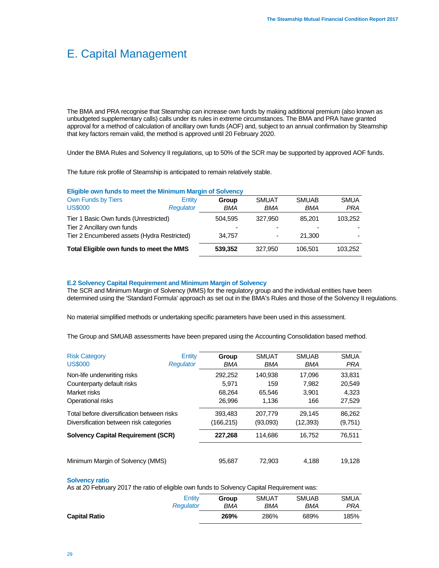## E. Capital Management

The BMA and PRA recognise that Steamship can increase own funds by making additional premium (also known as unbudgeted supplementary calls) calls under its rules in extreme circumstances. The BMA and PRA have granted approval for a method of calculation of ancillary own funds (AOF) and, subject to an annual confirmation by Steamship that key factors remain valid, the method is approved until 20 February 2020.

Under the BMA Rules and Solvency II regulations, up to 50% of the SCR may be supported by approved AOF funds.

The future risk profile of Steamship is anticipated to remain relatively stable.

#### **Eligible own funds to meet the Minimum Margin of Solvency**

| Own Funds by Tiers<br>Entity<br><b>SMUAT</b><br><b>SMUAB</b><br>Group<br><b>US\$000</b><br>Regulator<br>BMA<br>BMA<br>BMA<br>Tier 1 Basic Own funds (Unrestricted)<br>327,950<br>504.595<br>85.201<br>Tier 2 Ancillary own funds<br>Tier 2 Encumbered assets (Hydra Restricted)<br>34.757<br>21,300<br>۰<br>Total Eligible own funds to meet the MMS<br>539.352<br>327.950<br>106.501 |  |  |             |
|---------------------------------------------------------------------------------------------------------------------------------------------------------------------------------------------------------------------------------------------------------------------------------------------------------------------------------------------------------------------------------------|--|--|-------------|
|                                                                                                                                                                                                                                                                                                                                                                                       |  |  | <b>SMUA</b> |
|                                                                                                                                                                                                                                                                                                                                                                                       |  |  | <b>PRA</b>  |
|                                                                                                                                                                                                                                                                                                                                                                                       |  |  | 103.252     |
|                                                                                                                                                                                                                                                                                                                                                                                       |  |  |             |
|                                                                                                                                                                                                                                                                                                                                                                                       |  |  |             |
|                                                                                                                                                                                                                                                                                                                                                                                       |  |  | 103.252     |

#### **E.2 Solvency Capital Requirement and Minimum Margin of Solvency**

The SCR and Minimum Margin of Solvency (MMS) for the regulatory group and the individual entities have been determined using the 'Standard Formula' approach as set out in the BMA's Rules and those of the Solvency II regulations.

No material simplified methods or undertaking specific parameters have been used in this assessment.

The Group and SMUAB assessments have been prepared using the Accounting Consolidation based method.

| <b>Risk Category</b><br><b>US\$000</b>     | Entity<br>Regulator | Group<br>BMA | <b>SMUAT</b><br>BMA | <b>SMUAB</b><br><b>BMA</b> | <b>SMUA</b><br><b>PRA</b> |
|--------------------------------------------|---------------------|--------------|---------------------|----------------------------|---------------------------|
| Non-life underwriting risks                |                     | 292,252      | 140.938             | 17.096                     | 33,831                    |
| Counterparty default risks                 |                     | 5.971        | 159                 | 7.982                      | 20,549                    |
| Market risks                               |                     | 68,264       | 65.546              | 3.901                      | 4,323                     |
| Operational risks                          |                     | 26,996       | 1.136               | 166                        | 27,529                    |
| Total before diversification between risks |                     | 393,483      | 207,779             | 29.145                     | 86,262                    |
| Diversification between risk categories    |                     | (166,215)    | (93,093)            | (12, 393)                  | (9,751)                   |
| <b>Solvency Capital Requirement (SCR)</b>  |                     | 227,268      | 114.686             | 16.752                     | 76.511                    |
|                                            |                     |              |                     |                            |                           |
| Minimum Margin of Solvency (MMS)           |                     | 95,687       | 72.903              | 4.188                      | 19.128                    |

#### **Solvency ratio**

As at 20 February 2017 the ratio of eligible own funds to Solvency Capital Requirement was:

|                      | Entity    | Group | <b>SMUAT</b> | <b>SMUAB</b> | <b>SMUA</b> |
|----------------------|-----------|-------|--------------|--------------|-------------|
|                      | Regulator | BMA   | BMA          | BMA          | PRA         |
| <b>Capital Ratio</b> |           | 269%  | 286%         | 689%         | 185%        |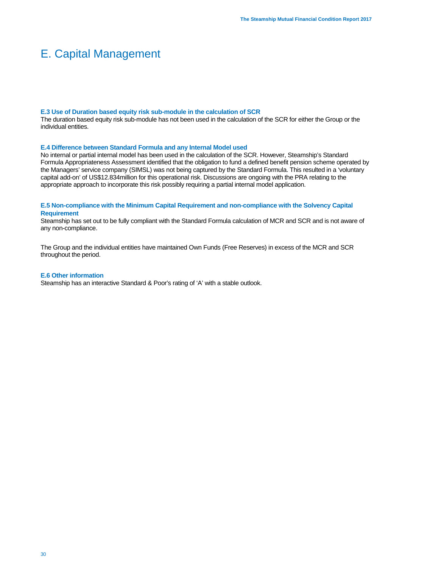## E. Capital Management

#### **E.3 Use of Duration based equity risk sub-module in the calculation of SCR**

The duration based equity risk sub-module has not been used in the calculation of the SCR for either the Group or the individual entities.

#### **E.4 Difference between Standard Formula and any Internal Model used**

No internal or partial internal model has been used in the calculation of the SCR. However, Steamship's Standard Formula Appropriateness Assessment identified that the obligation to fund a defined benefit pension scheme operated by the Managers' service company (SIMSL) was not being captured by the Standard Formula. This resulted in a 'voluntary capital add-on' of US\$12.834million for this operational risk. Discussions are ongoing with the PRA relating to the appropriate approach to incorporate this risk possibly requiring a partial internal model application.

## **E.5 Non-compliance with the Minimum Capital Requirement and non-compliance with the Solvency Capital Requirement**

Steamship has set out to be fully compliant with the Standard Formula calculation of MCR and SCR and is not aware of any non-compliance.

The Group and the individual entities have maintained Own Funds (Free Reserves) in excess of the MCR and SCR throughout the period.

#### **E.6 Other information**

Steamship has an interactive Standard & Poor's rating of 'A' with a stable outlook.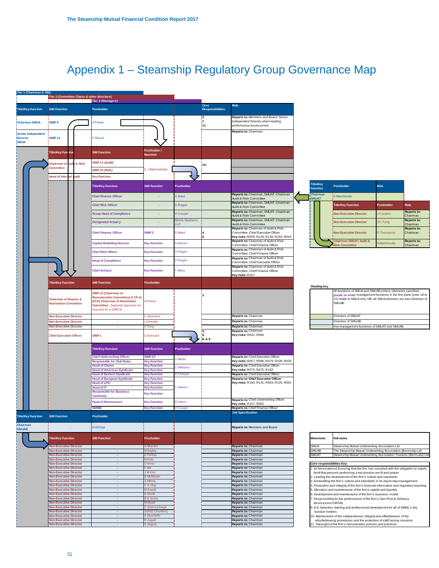# Appendix 1 – Steamship Regulatory Group Governance Map

| <b>Tier 3 (Managers)</b><br>Core<br>Role<br>Title/Key Function<br><b>SIM Function</b><br>Postholder<br><b>Responsibilities</b><br>Reports to: Members and Board; Senior<br>¦2.<br>j7.<br>Independent Director when leading<br><b>ISIMF9</b><br>Pohan<br><b>Chairman SMUA</b><br>111.<br>performance assessment<br>Reports to: Chairman<br><b>Senior Independent</b><br><b>SIMF14</b><br><b>Director</b><br>C Bouch<br><b>SMUA</b><br>Postholder /<br><b>Title/Key Function</b><br><b>SIM Function</b><br><b>Nominee</b><br>SIMF 11 (Audit)<br><b>Audit &amp; Risk</b><br>hairman of<br>10.<br>Committee<br>C J Madinabeitia<br>SIMF10 (Risk)<br><b>Head of Inter</b><br>udit<br><b>Key Function</b><br>ial<br><b>Title/Key</b><br><b>Title/Key Function</b><br><b>SIM Function</b><br>Postholder<br>Postholder<br><b>Function</b><br>Reports to: Chairman, SMUAT; Chairman<br>Chairman<br><b>Chief Finance Officer</b><br>S Ward<br>A Marchisotto<br>÷<br>udit & Risk Committee<br><b>SMUAT</b><br>Reports to: Chairman, SMUAT; Chairman<br><b>Chief Risk Officer</b><br>D Ragan<br><b>Title/Key Function</b><br>÷<br>Audit & Risk Committee<br>Reports to: Chairman, SMUAT; Chairman<br><b>Group Head of Compliance</b><br>H Cooper<br>Non-Executive Director<br>÷<br>Audit & Risk Committee<br>Reports to: Chairman, SMUAT; Chairman<br>Moore Stephens<br><b>Designated Actuary</b><br><b>Non-Executive Director</b><br>×.<br>LP.<br>Audit & Risk Committee<br>Reports to: Chairman of Audit & Risk<br>SIMF <sub>2</sub><br>S Ward<br><b>Chief Finance Officer</b><br>Committee; Chief Executive Officer<br><b>Non-Executive Director</b><br>Key risks: R059; R128; R138; R164; R043<br>Reports to: Chairman of Audit & Risk<br><b>Chairman SMUAT Audit &amp;</b><br><b>Capital Modelling Director</b><br>A Warren<br><b>Key Function</b><br>Committee; Chief Finance Officer<br><b>Risk Committee</b><br>Reports to: Chairman of Audit & Risk<br>D Ragan<br><b>Chief Risk Officer</b><br><b>Key Function</b><br>Committee: Chief Finance Officer<br>Reports to: Chairman of Audit & Risk<br><b>Head of Compliance</b><br><b>Key Function</b><br>D Ragan<br>Committee; Chief Executive Officer<br>Reports to: Chairman of Audit & Risk<br><b>Chief Actuary</b><br><b>Key Function</b><br>T Alfrey<br>Committee: Chief Finance Officer<br>Key risks: R167<br><b>SIM Function</b><br><b>Title/Key Function</b><br>Postholder<br><b>Shading key</b><br>SIMF12 [Chairman of<br>١1.<br>Remuneration Committee] & CF 2a<br><b>Chairman of Finance &amp;</b><br>A Pohan<br>FCA) [Chairman of Nomination<br>SMUAB.<br>Nomination Committee<br>Committee. Separate approval not<br>equired for a SIMF 9]<br>Reports to: Chairman<br>Directors of SMUAT<br><b>Non-Executive Director</b><br>r.<br>C Ahrenkiel<br>Grimaldi<br>Reports to: Chairman<br>Directors of SMUAB<br>Non-Executive Director<br>×.<br>Key management functions of SMUAT and SMUAB<br><b>Non-Executive Director</b><br>o.<br>Tung<br>Reports to: Chairman<br>Reports to: Chairman<br>lз.<br>Key risks: R031; R084<br>!6.<br>SIMF <sub>1</sub><br><b>Chief Executive Officer</b><br><b>G</b> Rynsard<br>8.&9.<br><b>Title/Key Function</b><br><b>SIM Function</b><br>Postholder |                                                                                                                                             |
|--------------------------------------------------------------------------------------------------------------------------------------------------------------------------------------------------------------------------------------------------------------------------------------------------------------------------------------------------------------------------------------------------------------------------------------------------------------------------------------------------------------------------------------------------------------------------------------------------------------------------------------------------------------------------------------------------------------------------------------------------------------------------------------------------------------------------------------------------------------------------------------------------------------------------------------------------------------------------------------------------------------------------------------------------------------------------------------------------------------------------------------------------------------------------------------------------------------------------------------------------------------------------------------------------------------------------------------------------------------------------------------------------------------------------------------------------------------------------------------------------------------------------------------------------------------------------------------------------------------------------------------------------------------------------------------------------------------------------------------------------------------------------------------------------------------------------------------------------------------------------------------------------------------------------------------------------------------------------------------------------------------------------------------------------------------------------------------------------------------------------------------------------------------------------------------------------------------------------------------------------------------------------------------------------------------------------------------------------------------------------------------------------------------------------------------------------------------------------------------------------------------------------------------------------------------------------------------------------------------------------------------------------------------------------------------------------------------------------------------------------------------------------------------------------------------------------------------------------------------------------------------------------------------------------------------------------------------------------------------------------------------------------------------------------------------------------------------------------------------------------------------------------------------------------------------------------------------------------------------------|---------------------------------------------------------------------------------------------------------------------------------------------|
|                                                                                                                                                                                                                                                                                                                                                                                                                                                                                                                                                                                                                                                                                                                                                                                                                                                                                                                                                                                                                                                                                                                                                                                                                                                                                                                                                                                                                                                                                                                                                                                                                                                                                                                                                                                                                                                                                                                                                                                                                                                                                                                                                                                                                                                                                                                                                                                                                                                                                                                                                                                                                                                                                                                                                                                                                                                                                                                                                                                                                                                                                                                                                                                                                                            |                                                                                                                                             |
|                                                                                                                                                                                                                                                                                                                                                                                                                                                                                                                                                                                                                                                                                                                                                                                                                                                                                                                                                                                                                                                                                                                                                                                                                                                                                                                                                                                                                                                                                                                                                                                                                                                                                                                                                                                                                                                                                                                                                                                                                                                                                                                                                                                                                                                                                                                                                                                                                                                                                                                                                                                                                                                                                                                                                                                                                                                                                                                                                                                                                                                                                                                                                                                                                                            |                                                                                                                                             |
|                                                                                                                                                                                                                                                                                                                                                                                                                                                                                                                                                                                                                                                                                                                                                                                                                                                                                                                                                                                                                                                                                                                                                                                                                                                                                                                                                                                                                                                                                                                                                                                                                                                                                                                                                                                                                                                                                                                                                                                                                                                                                                                                                                                                                                                                                                                                                                                                                                                                                                                                                                                                                                                                                                                                                                                                                                                                                                                                                                                                                                                                                                                                                                                                                                            |                                                                                                                                             |
|                                                                                                                                                                                                                                                                                                                                                                                                                                                                                                                                                                                                                                                                                                                                                                                                                                                                                                                                                                                                                                                                                                                                                                                                                                                                                                                                                                                                                                                                                                                                                                                                                                                                                                                                                                                                                                                                                                                                                                                                                                                                                                                                                                                                                                                                                                                                                                                                                                                                                                                                                                                                                                                                                                                                                                                                                                                                                                                                                                                                                                                                                                                                                                                                                                            |                                                                                                                                             |
|                                                                                                                                                                                                                                                                                                                                                                                                                                                                                                                                                                                                                                                                                                                                                                                                                                                                                                                                                                                                                                                                                                                                                                                                                                                                                                                                                                                                                                                                                                                                                                                                                                                                                                                                                                                                                                                                                                                                                                                                                                                                                                                                                                                                                                                                                                                                                                                                                                                                                                                                                                                                                                                                                                                                                                                                                                                                                                                                                                                                                                                                                                                                                                                                                                            |                                                                                                                                             |
|                                                                                                                                                                                                                                                                                                                                                                                                                                                                                                                                                                                                                                                                                                                                                                                                                                                                                                                                                                                                                                                                                                                                                                                                                                                                                                                                                                                                                                                                                                                                                                                                                                                                                                                                                                                                                                                                                                                                                                                                                                                                                                                                                                                                                                                                                                                                                                                                                                                                                                                                                                                                                                                                                                                                                                                                                                                                                                                                                                                                                                                                                                                                                                                                                                            |                                                                                                                                             |
|                                                                                                                                                                                                                                                                                                                                                                                                                                                                                                                                                                                                                                                                                                                                                                                                                                                                                                                                                                                                                                                                                                                                                                                                                                                                                                                                                                                                                                                                                                                                                                                                                                                                                                                                                                                                                                                                                                                                                                                                                                                                                                                                                                                                                                                                                                                                                                                                                                                                                                                                                                                                                                                                                                                                                                                                                                                                                                                                                                                                                                                                                                                                                                                                                                            |                                                                                                                                             |
|                                                                                                                                                                                                                                                                                                                                                                                                                                                                                                                                                                                                                                                                                                                                                                                                                                                                                                                                                                                                                                                                                                                                                                                                                                                                                                                                                                                                                                                                                                                                                                                                                                                                                                                                                                                                                                                                                                                                                                                                                                                                                                                                                                                                                                                                                                                                                                                                                                                                                                                                                                                                                                                                                                                                                                                                                                                                                                                                                                                                                                                                                                                                                                                                                                            |                                                                                                                                             |
|                                                                                                                                                                                                                                                                                                                                                                                                                                                                                                                                                                                                                                                                                                                                                                                                                                                                                                                                                                                                                                                                                                                                                                                                                                                                                                                                                                                                                                                                                                                                                                                                                                                                                                                                                                                                                                                                                                                                                                                                                                                                                                                                                                                                                                                                                                                                                                                                                                                                                                                                                                                                                                                                                                                                                                                                                                                                                                                                                                                                                                                                                                                                                                                                                                            | Role                                                                                                                                        |
|                                                                                                                                                                                                                                                                                                                                                                                                                                                                                                                                                                                                                                                                                                                                                                                                                                                                                                                                                                                                                                                                                                                                                                                                                                                                                                                                                                                                                                                                                                                                                                                                                                                                                                                                                                                                                                                                                                                                                                                                                                                                                                                                                                                                                                                                                                                                                                                                                                                                                                                                                                                                                                                                                                                                                                                                                                                                                                                                                                                                                                                                                                                                                                                                                                            |                                                                                                                                             |
|                                                                                                                                                                                                                                                                                                                                                                                                                                                                                                                                                                                                                                                                                                                                                                                                                                                                                                                                                                                                                                                                                                                                                                                                                                                                                                                                                                                                                                                                                                                                                                                                                                                                                                                                                                                                                                                                                                                                                                                                                                                                                                                                                                                                                                                                                                                                                                                                                                                                                                                                                                                                                                                                                                                                                                                                                                                                                                                                                                                                                                                                                                                                                                                                                                            | Postholder<br>Role                                                                                                                          |
|                                                                                                                                                                                                                                                                                                                                                                                                                                                                                                                                                                                                                                                                                                                                                                                                                                                                                                                                                                                                                                                                                                                                                                                                                                                                                                                                                                                                                                                                                                                                                                                                                                                                                                                                                                                                                                                                                                                                                                                                                                                                                                                                                                                                                                                                                                                                                                                                                                                                                                                                                                                                                                                                                                                                                                                                                                                                                                                                                                                                                                                                                                                                                                                                                                            | <b>Reports to:</b><br>Conyers<br>Chairman                                                                                                   |
|                                                                                                                                                                                                                                                                                                                                                                                                                                                                                                                                                                                                                                                                                                                                                                                                                                                                                                                                                                                                                                                                                                                                                                                                                                                                                                                                                                                                                                                                                                                                                                                                                                                                                                                                                                                                                                                                                                                                                                                                                                                                                                                                                                                                                                                                                                                                                                                                                                                                                                                                                                                                                                                                                                                                                                                                                                                                                                                                                                                                                                                                                                                                                                                                                                            | Reports to:<br>C Tung<br>Chairman                                                                                                           |
|                                                                                                                                                                                                                                                                                                                                                                                                                                                                                                                                                                                                                                                                                                                                                                                                                                                                                                                                                                                                                                                                                                                                                                                                                                                                                                                                                                                                                                                                                                                                                                                                                                                                                                                                                                                                                                                                                                                                                                                                                                                                                                                                                                                                                                                                                                                                                                                                                                                                                                                                                                                                                                                                                                                                                                                                                                                                                                                                                                                                                                                                                                                                                                                                                                            | Reports to:<br><b>Thompson</b><br>Chairman                                                                                                  |
|                                                                                                                                                                                                                                                                                                                                                                                                                                                                                                                                                                                                                                                                                                                                                                                                                                                                                                                                                                                                                                                                                                                                                                                                                                                                                                                                                                                                                                                                                                                                                                                                                                                                                                                                                                                                                                                                                                                                                                                                                                                                                                                                                                                                                                                                                                                                                                                                                                                                                                                                                                                                                                                                                                                                                                                                                                                                                                                                                                                                                                                                                                                                                                                                                                            | <b>Reports to:</b>                                                                                                                          |
|                                                                                                                                                                                                                                                                                                                                                                                                                                                                                                                                                                                                                                                                                                                                                                                                                                                                                                                                                                                                                                                                                                                                                                                                                                                                                                                                                                                                                                                                                                                                                                                                                                                                                                                                                                                                                                                                                                                                                                                                                                                                                                                                                                                                                                                                                                                                                                                                                                                                                                                                                                                                                                                                                                                                                                                                                                                                                                                                                                                                                                                                                                                                                                                                                                            | <b>Marchisotto</b><br>Chairman                                                                                                              |
|                                                                                                                                                                                                                                                                                                                                                                                                                                                                                                                                                                                                                                                                                                                                                                                                                                                                                                                                                                                                                                                                                                                                                                                                                                                                                                                                                                                                                                                                                                                                                                                                                                                                                                                                                                                                                                                                                                                                                                                                                                                                                                                                                                                                                                                                                                                                                                                                                                                                                                                                                                                                                                                                                                                                                                                                                                                                                                                                                                                                                                                                                                                                                                                                                                            |                                                                                                                                             |
|                                                                                                                                                                                                                                                                                                                                                                                                                                                                                                                                                                                                                                                                                                                                                                                                                                                                                                                                                                                                                                                                                                                                                                                                                                                                                                                                                                                                                                                                                                                                                                                                                                                                                                                                                                                                                                                                                                                                                                                                                                                                                                                                                                                                                                                                                                                                                                                                                                                                                                                                                                                                                                                                                                                                                                                                                                                                                                                                                                                                                                                                                                                                                                                                                                            |                                                                                                                                             |
|                                                                                                                                                                                                                                                                                                                                                                                                                                                                                                                                                                                                                                                                                                                                                                                                                                                                                                                                                                                                                                                                                                                                                                                                                                                                                                                                                                                                                                                                                                                                                                                                                                                                                                                                                                                                                                                                                                                                                                                                                                                                                                                                                                                                                                                                                                                                                                                                                                                                                                                                                                                                                                                                                                                                                                                                                                                                                                                                                                                                                                                                                                                                                                                                                                            |                                                                                                                                             |
|                                                                                                                                                                                                                                                                                                                                                                                                                                                                                                                                                                                                                                                                                                                                                                                                                                                                                                                                                                                                                                                                                                                                                                                                                                                                                                                                                                                                                                                                                                                                                                                                                                                                                                                                                                                                                                                                                                                                                                                                                                                                                                                                                                                                                                                                                                                                                                                                                                                                                                                                                                                                                                                                                                                                                                                                                                                                                                                                                                                                                                                                                                                                                                                                                                            |                                                                                                                                             |
|                                                                                                                                                                                                                                                                                                                                                                                                                                                                                                                                                                                                                                                                                                                                                                                                                                                                                                                                                                                                                                                                                                                                                                                                                                                                                                                                                                                                                                                                                                                                                                                                                                                                                                                                                                                                                                                                                                                                                                                                                                                                                                                                                                                                                                                                                                                                                                                                                                                                                                                                                                                                                                                                                                                                                                                                                                                                                                                                                                                                                                                                                                                                                                                                                                            | All functions of SMUA and SMUAB unless otherwise specified;                                                                                 |
|                                                                                                                                                                                                                                                                                                                                                                                                                                                                                                                                                                                                                                                                                                                                                                                                                                                                                                                                                                                                                                                                                                                                                                                                                                                                                                                                                                                                                                                                                                                                                                                                                                                                                                                                                                                                                                                                                                                                                                                                                                                                                                                                                                                                                                                                                                                                                                                                                                                                                                                                                                                                                                                                                                                                                                                                                                                                                                                                                                                                                                                                                                                                                                                                                                            | purple on white management functions in the first bank (rows 18 to<br>22) relate to SMUA only. NB: all SMUA directors are also directors of |
|                                                                                                                                                                                                                                                                                                                                                                                                                                                                                                                                                                                                                                                                                                                                                                                                                                                                                                                                                                                                                                                                                                                                                                                                                                                                                                                                                                                                                                                                                                                                                                                                                                                                                                                                                                                                                                                                                                                                                                                                                                                                                                                                                                                                                                                                                                                                                                                                                                                                                                                                                                                                                                                                                                                                                                                                                                                                                                                                                                                                                                                                                                                                                                                                                                            |                                                                                                                                             |
|                                                                                                                                                                                                                                                                                                                                                                                                                                                                                                                                                                                                                                                                                                                                                                                                                                                                                                                                                                                                                                                                                                                                                                                                                                                                                                                                                                                                                                                                                                                                                                                                                                                                                                                                                                                                                                                                                                                                                                                                                                                                                                                                                                                                                                                                                                                                                                                                                                                                                                                                                                                                                                                                                                                                                                                                                                                                                                                                                                                                                                                                                                                                                                                                                                            |                                                                                                                                             |
|                                                                                                                                                                                                                                                                                                                                                                                                                                                                                                                                                                                                                                                                                                                                                                                                                                                                                                                                                                                                                                                                                                                                                                                                                                                                                                                                                                                                                                                                                                                                                                                                                                                                                                                                                                                                                                                                                                                                                                                                                                                                                                                                                                                                                                                                                                                                                                                                                                                                                                                                                                                                                                                                                                                                                                                                                                                                                                                                                                                                                                                                                                                                                                                                                                            |                                                                                                                                             |
|                                                                                                                                                                                                                                                                                                                                                                                                                                                                                                                                                                                                                                                                                                                                                                                                                                                                                                                                                                                                                                                                                                                                                                                                                                                                                                                                                                                                                                                                                                                                                                                                                                                                                                                                                                                                                                                                                                                                                                                                                                                                                                                                                                                                                                                                                                                                                                                                                                                                                                                                                                                                                                                                                                                                                                                                                                                                                                                                                                                                                                                                                                                                                                                                                                            |                                                                                                                                             |
| <b>SIMF22</b><br><b>Chief Underwriting Officer</b><br>Reports to: Chief Executive Officer<br>S Martin<br><b>Responsible for Club Rules</b><br>Key risks: R057; R096; R079; R109; R030<br><b>Key Function</b>                                                                                                                                                                                                                                                                                                                                                                                                                                                                                                                                                                                                                                                                                                                                                                                                                                                                                                                                                                                                                                                                                                                                                                                                                                                                                                                                                                                                                                                                                                                                                                                                                                                                                                                                                                                                                                                                                                                                                                                                                                                                                                                                                                                                                                                                                                                                                                                                                                                                                                                                                                                                                                                                                                                                                                                                                                                                                                                                                                                                                               |                                                                                                                                             |
| <b>Head of Claims</b><br>Reports to: Chief Executive Officer<br><b>Key Function</b><br>C Williams<br>Key risks: R070; R075; R169                                                                                                                                                                                                                                                                                                                                                                                                                                                                                                                                                                                                                                                                                                                                                                                                                                                                                                                                                                                                                                                                                                                                                                                                                                                                                                                                                                                                                                                                                                                                                                                                                                                                                                                                                                                                                                                                                                                                                                                                                                                                                                                                                                                                                                                                                                                                                                                                                                                                                                                                                                                                                                                                                                                                                                                                                                                                                                                                                                                                                                                                                                           |                                                                                                                                             |
| <b>Head of Americas Syndicate</b><br><b>Key Function</b><br>Reports to: Chief Executive Officer<br><b>Head of Eastern Syndicate</b><br><b>D</b> Christie<br><b>Key Function</b>                                                                                                                                                                                                                                                                                                                                                                                                                                                                                                                                                                                                                                                                                                                                                                                                                                                                                                                                                                                                                                                                                                                                                                                                                                                                                                                                                                                                                                                                                                                                                                                                                                                                                                                                                                                                                                                                                                                                                                                                                                                                                                                                                                                                                                                                                                                                                                                                                                                                                                                                                                                                                                                                                                                                                                                                                                                                                                                                                                                                                                                            |                                                                                                                                             |
| <b>Head of European Syndicate</b><br>Reports to: Chief Executive Officer<br><b>Key Function</b><br>Key risks: R190; R141; R093; R125; R062<br><b>Head of LPD</b><br><b>Key Function</b>                                                                                                                                                                                                                                                                                                                                                                                                                                                                                                                                                                                                                                                                                                                                                                                                                                                                                                                                                                                                                                                                                                                                                                                                                                                                                                                                                                                                                                                                                                                                                                                                                                                                                                                                                                                                                                                                                                                                                                                                                                                                                                                                                                                                                                                                                                                                                                                                                                                                                                                                                                                                                                                                                                                                                                                                                                                                                                                                                                                                                                                    |                                                                                                                                             |
| <b>Head of IT</b><br><b>Cey Function</b><br>C Adams<br><b>Responsible for Business</b><br><b>Key Function</b>                                                                                                                                                                                                                                                                                                                                                                                                                                                                                                                                                                                                                                                                                                                                                                                                                                                                                                                                                                                                                                                                                                                                                                                                                                                                                                                                                                                                                                                                                                                                                                                                                                                                                                                                                                                                                                                                                                                                                                                                                                                                                                                                                                                                                                                                                                                                                                                                                                                                                                                                                                                                                                                                                                                                                                                                                                                                                                                                                                                                                                                                                                                              |                                                                                                                                             |
| <b>Continuity</b><br>Reports to: Chief Underwriting Officer<br><b>Head of Reinsurance</b><br>R Harris<br><b>Key Function</b>                                                                                                                                                                                                                                                                                                                                                                                                                                                                                                                                                                                                                                                                                                                                                                                                                                                                                                                                                                                                                                                                                                                                                                                                                                                                                                                                                                                                                                                                                                                                                                                                                                                                                                                                                                                                                                                                                                                                                                                                                                                                                                                                                                                                                                                                                                                                                                                                                                                                                                                                                                                                                                                                                                                                                                                                                                                                                                                                                                                                                                                                                                               |                                                                                                                                             |
| Key risks: R157; R062<br><b>SMMB</b><br>Reports to: Chief Finance Officer<br><b>Key Function</b><br>H Cooper                                                                                                                                                                                                                                                                                                                                                                                                                                                                                                                                                                                                                                                                                                                                                                                                                                                                                                                                                                                                                                                                                                                                                                                                                                                                                                                                                                                                                                                                                                                                                                                                                                                                                                                                                                                                                                                                                                                                                                                                                                                                                                                                                                                                                                                                                                                                                                                                                                                                                                                                                                                                                                                                                                                                                                                                                                                                                                                                                                                                                                                                                                                               |                                                                                                                                             |
| <b>Title/Key Function</b><br>Postholder<br><b>SIM Function</b>                                                                                                                                                                                                                                                                                                                                                                                                                                                                                                                                                                                                                                                                                                                                                                                                                                                                                                                                                                                                                                                                                                                                                                                                                                                                                                                                                                                                                                                                                                                                                                                                                                                                                                                                                                                                                                                                                                                                                                                                                                                                                                                                                                                                                                                                                                                                                                                                                                                                                                                                                                                                                                                                                                                                                                                                                                                                                                                                                                                                                                                                                                                                                                             |                                                                                                                                             |
| <b>Chairman</b><br>S-M Edye<br>Reports to: Members and Board<br><b>SMUAB</b>                                                                                                                                                                                                                                                                                                                                                                                                                                                                                                                                                                                                                                                                                                                                                                                                                                                                                                                                                                                                                                                                                                                                                                                                                                                                                                                                                                                                                                                                                                                                                                                                                                                                                                                                                                                                                                                                                                                                                                                                                                                                                                                                                                                                                                                                                                                                                                                                                                                                                                                                                                                                                                                                                                                                                                                                                                                                                                                                                                                                                                                                                                                                                               |                                                                                                                                             |
| Full name<br>Title/Key Function<br><b>SIM Function</b><br>Postholder<br>Mnemonic                                                                                                                                                                                                                                                                                                                                                                                                                                                                                                                                                                                                                                                                                                                                                                                                                                                                                                                                                                                                                                                                                                                                                                                                                                                                                                                                                                                                                                                                                                                                                                                                                                                                                                                                                                                                                                                                                                                                                                                                                                                                                                                                                                                                                                                                                                                                                                                                                                                                                                                                                                                                                                                                                                                                                                                                                                                                                                                                                                                                                                                                                                                                                           |                                                                                                                                             |
| <b>SMUA</b><br>Steamship Mutual Underwriting Association Ltd<br><b>Non-Executive Director</b><br>A Albertini<br>Reports to: Chairman<br><b>SMUAB</b><br><b>Von-Executive Director</b><br>Reports to: Chairman<br>M Bayley<br>$\sim$                                                                                                                                                                                                                                                                                                                                                                                                                                                                                                                                                                                                                                                                                                                                                                                                                                                                                                                                                                                                                                                                                                                                                                                                                                                                                                                                                                                                                                                                                                                                                                                                                                                                                                                                                                                                                                                                                                                                                                                                                                                                                                                                                                                                                                                                                                                                                                                                                                                                                                                                                                                                                                                                                                                                                                                                                                                                                                                                                                                                        | The Steamship Mutual Underwriting Association (Bermuda) Ltd                                                                                 |
| <b>SMUAT</b><br>Reports to: Chairman<br><b>Non-Executive Director</b><br>D Farkas<br>$\sim$                                                                                                                                                                                                                                                                                                                                                                                                                                                                                                                                                                                                                                                                                                                                                                                                                                                                                                                                                                                                                                                                                                                                                                                                                                                                                                                                                                                                                                                                                                                                                                                                                                                                                                                                                                                                                                                                                                                                                                                                                                                                                                                                                                                                                                                                                                                                                                                                                                                                                                                                                                                                                                                                                                                                                                                                                                                                                                                                                                                                                                                                                                                                                | Steamship Mutual Underwriting Association Trustees (Bermuda) Ltd                                                                            |
| Reports to: Chairman<br><b>Non-Executive Director</b><br>M Frith<br><b>Section</b><br>D M Ho<br>Core responsibilities Key:<br><b>Non-Executive Director</b><br>Reports to: Chairman<br>$\sim$                                                                                                                                                                                                                                                                                                                                                                                                                                                                                                                                                                                                                                                                                                                                                                                                                                                                                                                                                                                                                                                                                                                                                                                                                                                                                                                                                                                                                                                                                                                                                                                                                                                                                                                                                                                                                                                                                                                                                                                                                                                                                                                                                                                                                                                                                                                                                                                                                                                                                                                                                                                                                                                                                                                                                                                                                                                                                                                                                                                                                                              |                                                                                                                                             |
| <b>Non-Executive Director</b><br>E Ide<br>Reports to: Chairman<br>$\sim$<br>J W Kim<br>$\sim$                                                                                                                                                                                                                                                                                                                                                                                                                                                                                                                                                                                                                                                                                                                                                                                                                                                                                                                                                                                                                                                                                                                                                                                                                                                                                                                                                                                                                                                                                                                                                                                                                                                                                                                                                                                                                                                                                                                                                                                                                                                                                                                                                                                                                                                                                                                                                                                                                                                                                                                                                                                                                                                                                                                                                                                                                                                                                                                                                                                                                                                                                                                                              | 1. [irt Nominations] Ensuring that the firm has complied with the obligation to satisfy                                                     |
| Reports to: Chairman<br><b>Non-Executive Director</b><br>itself that persons performing a key function are fit and proper<br><b>B</b> McAllister<br><b>Non-Executive Director</b><br>$\sim$<br>Reports to: Chairman<br>2. Leading the development of the firm's culture and standards                                                                                                                                                                                                                                                                                                                                                                                                                                                                                                                                                                                                                                                                                                                                                                                                                                                                                                                                                                                                                                                                                                                                                                                                                                                                                                                                                                                                                                                                                                                                                                                                                                                                                                                                                                                                                                                                                                                                                                                                                                                                                                                                                                                                                                                                                                                                                                                                                                                                                                                                                                                                                                                                                                                                                                                                                                                                                                                                                      |                                                                                                                                             |
| <b>Non-Executive Director</b><br>S Mehta<br>Reports to: Chairman<br>3. Embedding the firm's culture and standards in its day-to-day management<br>c.<br><b>Non-Executive Director</b><br>C K Ong<br>Reports to: Chairman<br>$\sim$                                                                                                                                                                                                                                                                                                                                                                                                                                                                                                                                                                                                                                                                                                                                                                                                                                                                                                                                                                                                                                                                                                                                                                                                                                                                                                                                                                                                                                                                                                                                                                                                                                                                                                                                                                                                                                                                                                                                                                                                                                                                                                                                                                                                                                                                                                                                                                                                                                                                                                                                                                                                                                                                                                                                                                                                                                                                                                                                                                                                         | 4. Production and integrity of the firm's financial information and regulatory reporting                                                    |
| <b>Non-Executive Director</b><br>M Saeidi<br>Reports to: Chairman<br>5. Allocation and maintenance of the firm's capital and liquidity<br>$\sim$                                                                                                                                                                                                                                                                                                                                                                                                                                                                                                                                                                                                                                                                                                                                                                                                                                                                                                                                                                                                                                                                                                                                                                                                                                                                                                                                                                                                                                                                                                                                                                                                                                                                                                                                                                                                                                                                                                                                                                                                                                                                                                                                                                                                                                                                                                                                                                                                                                                                                                                                                                                                                                                                                                                                                                                                                                                                                                                                                                                                                                                                                           |                                                                                                                                             |
| <b>Non-Executive Director</b><br><b>B</b> Sheth<br>Reports to: Chairman<br>6. Development and maintenance of the firm's business model<br>$\sim$<br><b>Non-Executive Director</b><br><b>B B Sinha</b><br>Reports to: Chairman<br>$\sim$<br>7. Responsibility for the performance of the firm's Own Risk & Solvency                                                                                                                                                                                                                                                                                                                                                                                                                                                                                                                                                                                                                                                                                                                                                                                                                                                                                                                                                                                                                                                                                                                                                                                                                                                                                                                                                                                                                                                                                                                                                                                                                                                                                                                                                                                                                                                                                                                                                                                                                                                                                                                                                                                                                                                                                                                                                                                                                                                                                                                                                                                                                                                                                                                                                                                                                                                                                                                         |                                                                                                                                             |
| M Sloan<br>Reports to: Chairman<br><b>Non-Executive Director</b><br>$\sim$<br>Assessment (ORSA)                                                                                                                                                                                                                                                                                                                                                                                                                                                                                                                                                                                                                                                                                                                                                                                                                                                                                                                                                                                                                                                                                                                                                                                                                                                                                                                                                                                                                                                                                                                                                                                                                                                                                                                                                                                                                                                                                                                                                                                                                                                                                                                                                                                                                                                                                                                                                                                                                                                                                                                                                                                                                                                                                                                                                                                                                                                                                                                                                                                                                                                                                                                                            |                                                                                                                                             |
| C Sommerhage<br>Reports to: Chairman<br><b>Non-Executive Director</b><br>$\sim$<br>B. & 9. Induction, training and professional development for all of SIMSL's key<br><b>SONG Chunfeng</b><br>Reports to: Chairman<br><b>Non-Executive Director</b><br>$\sim$<br>function holders                                                                                                                                                                                                                                                                                                                                                                                                                                                                                                                                                                                                                                                                                                                                                                                                                                                                                                                                                                                                                                                                                                                                                                                                                                                                                                                                                                                                                                                                                                                                                                                                                                                                                                                                                                                                                                                                                                                                                                                                                                                                                                                                                                                                                                                                                                                                                                                                                                                                                                                                                                                                                                                                                                                                                                                                                                                                                                                                                          |                                                                                                                                             |
| A Zacchello<br>Reports to: Chairman<br><b>Non-Executive Director</b><br>$\sim$<br>10. Maintenance of the independence, integrity and effectiveness of the<br>R Zagari<br>Reports to: Chairman<br><b>Non-Executive Director</b><br>$\sim$<br>whistleblowing procedures and the protection of staff raising concerns                                                                                                                                                                                                                                                                                                                                                                                                                                                                                                                                                                                                                                                                                                                                                                                                                                                                                                                                                                                                                                                                                                                                                                                                                                                                                                                                                                                                                                                                                                                                                                                                                                                                                                                                                                                                                                                                                                                                                                                                                                                                                                                                                                                                                                                                                                                                                                                                                                                                                                                                                                                                                                                                                                                                                                                                                                                                                                                         |                                                                                                                                             |
| <b>Non-Executive Director</b><br>S Zagury<br>Reports to: Chairman<br>11. Oversight of the firm's remuneration policies and practices<br>$\sim$                                                                                                                                                                                                                                                                                                                                                                                                                                                                                                                                                                                                                                                                                                                                                                                                                                                                                                                                                                                                                                                                                                                                                                                                                                                                                                                                                                                                                                                                                                                                                                                                                                                                                                                                                                                                                                                                                                                                                                                                                                                                                                                                                                                                                                                                                                                                                                                                                                                                                                                                                                                                                                                                                                                                                                                                                                                                                                                                                                                                                                                                                             |                                                                                                                                             |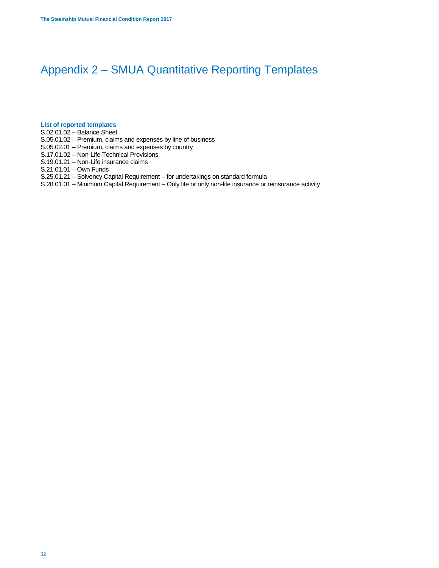## Appendix 2 – SMUA Quantitative Reporting Templates

## **List of reported templates**

- S.02.01.02 Balance Sheet
- S.05.01.02 Premium, claims and expenses by line of business
- S.05.02.01 Premium, claims and expenses by country
- S.17.01.02 Non-Life Technical Provisions
- S.19.01.21 Non-Life insurance claims
- S.21.01.01 Own Funds
- S.25.01.21 Solvency Capital Requirement for undertakings on standard formula
- S.28.01.01 Minimum Capital Requirement Only life or only non-life insurance or reinsurance activity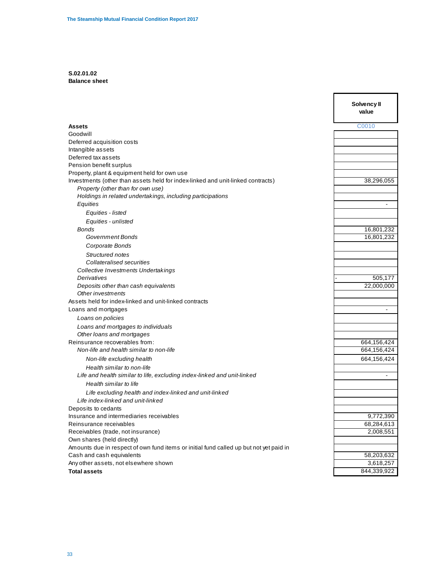## **S.02.01.02 Balance sheet**

|                                                                                        | Solvency II<br>value |
|----------------------------------------------------------------------------------------|----------------------|
| <b>Assets</b>                                                                          | C0010                |
| Goodwill                                                                               |                      |
| Deferred acquisition costs                                                             |                      |
| Intangible assets                                                                      |                      |
| Deferred tax assets                                                                    |                      |
| Pension benefit surplus<br>Property, plant & equipment held for own use                |                      |
| Investments (other than assets held for index-linked and unit-linked contracts)        | 38,296,055           |
| Property (other than for own use)                                                      |                      |
| Holdings in related undertakings, including participations                             |                      |
| Equities                                                                               |                      |
| Equities - listed                                                                      |                      |
| Equities - unlisted                                                                    |                      |
| Bonds                                                                                  | 16,801,232           |
| <b>Government Bonds</b>                                                                | 16,801,232           |
| Corporate Bonds                                                                        |                      |
| Structured notes                                                                       |                      |
| Collateralised securities                                                              |                      |
| <b>Collective Investments Undertakings</b>                                             | 505,177              |
| Derivatives<br>Deposits other than cash equivalents                                    | 22,000,000           |
| Other investments                                                                      |                      |
| Assets held for index-linked and unit-linked contracts                                 |                      |
| Loans and mortgages                                                                    |                      |
| Loans on policies                                                                      |                      |
| Loans and mortgages to individuals                                                     |                      |
| Other loans and mortgages                                                              |                      |
| Reinsurance recoverables from:                                                         | 664,156,424          |
| Non-life and health similar to non-life                                                | 664,156,424          |
| Non-life excluding health                                                              | 664,156,424          |
| Health similar to non-life                                                             |                      |
| Life and health similar to life, excluding index-linked and unit-linked                | $\blacksquare$       |
| Health similar to life                                                                 |                      |
| Life excluding health and index-linked and unit-linked                                 |                      |
| Life index-linked and unit-linked                                                      |                      |
| Deposits to cedants<br>Insurance and intermediaries receivables                        | 9,772,390            |
| Reinsurance receivables                                                                | 68,284,613           |
| Receivables (trade, not insurance)                                                     | 2,008,551            |
| Own shares (held directly)                                                             |                      |
| Amounts due in respect of own fund items or initial fund called up but not yet paid in |                      |
| Cash and cash equivalents                                                              | 58,203,632           |
| Any other assets, not elsewhere shown                                                  | 3,618,257            |
| <b>Total assets</b>                                                                    | 844,339,922          |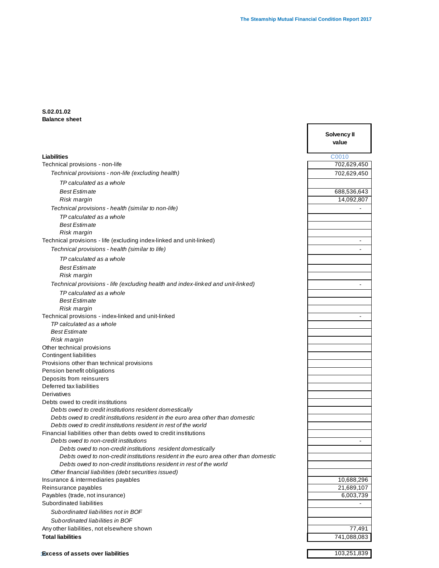Г

## **S.02.01.02 Balance sheet**

|                                                                                                                                                            | Solvency II<br>value |
|------------------------------------------------------------------------------------------------------------------------------------------------------------|----------------------|
| <b>Liabilities</b>                                                                                                                                         | C0010                |
| Technical provisions - non-life                                                                                                                            | 702,629,450          |
| Technical provisions - non-life (excluding health)                                                                                                         | 702,629,450          |
| TP calculated as a whole                                                                                                                                   |                      |
| <b>Best Estimate</b>                                                                                                                                       | 688,536,643          |
| Risk margin                                                                                                                                                | 14,092,807           |
| Technical provisions - health (similar to non-life)                                                                                                        |                      |
| TP calculated as a whole                                                                                                                                   |                      |
| <b>Best Estimate</b>                                                                                                                                       |                      |
| Risk margin                                                                                                                                                |                      |
| Technical provisions - life (excluding index-linked and unit-linked)                                                                                       | $\blacksquare$       |
| Technical provisions - health (similar to life)                                                                                                            |                      |
| TP calculated as a whole                                                                                                                                   |                      |
|                                                                                                                                                            |                      |
| <b>Best Estimate</b>                                                                                                                                       |                      |
| Risk margin                                                                                                                                                |                      |
| Technical provisions - life (excluding health and index-linked and unit-linked)                                                                            |                      |
| TP calculated as a whole                                                                                                                                   |                      |
| <b>Best Estimate</b>                                                                                                                                       |                      |
| Risk margin                                                                                                                                                |                      |
| Technical provisions - index-linked and unit-linked<br>TP calculated as a whole                                                                            |                      |
| <b>Best Estimate</b>                                                                                                                                       |                      |
| Risk margin                                                                                                                                                |                      |
| Other technical provisions                                                                                                                                 |                      |
| Contingent liabilities                                                                                                                                     |                      |
| Provisions other than technical provisions                                                                                                                 |                      |
| Pension benefit obligations                                                                                                                                |                      |
| Deposits from reinsurers                                                                                                                                   |                      |
| Deferred tax liabilities                                                                                                                                   |                      |
| Derivatives                                                                                                                                                |                      |
| Debts owed to credit institutions                                                                                                                          |                      |
| Debts owed to credit institutions resident domestically                                                                                                    |                      |
| Debts owed to credit institutions resident in the euro area other than domestic                                                                            |                      |
| Debts owed to credit institutions resident in rest of the world                                                                                            |                      |
| Financial liabilities other than debts owed to credit institutions                                                                                         |                      |
| Debts owed to non-credit institutions                                                                                                                      |                      |
| Debts owed to non-credit institutions resident domestically                                                                                                |                      |
| Debts owed to non-credit institutions resident in the euro area other than domestic<br>Debts owed to non-credit institutions resident in rest of the world |                      |
| Other financial liabilities (debt securities issued)                                                                                                       |                      |
| Insurance & intermediaries payables                                                                                                                        | 10,688,296           |
| Reinsurance payables                                                                                                                                       | 21,689,107           |
| Payables (trade, not insurance)                                                                                                                            | 6,003,739            |
| Subordinated liabilities                                                                                                                                   |                      |
| Subordinated liabilities not in BOF                                                                                                                        |                      |
| Subordinated liabilities in BOF                                                                                                                            |                      |
| Any other liabilities, not elsewhere shown                                                                                                                 | 77,491               |
| <b>Total liabilities</b>                                                                                                                                   | 741,088,083          |
|                                                                                                                                                            |                      |

34 **Excess of assets over liabilities** 103,251,839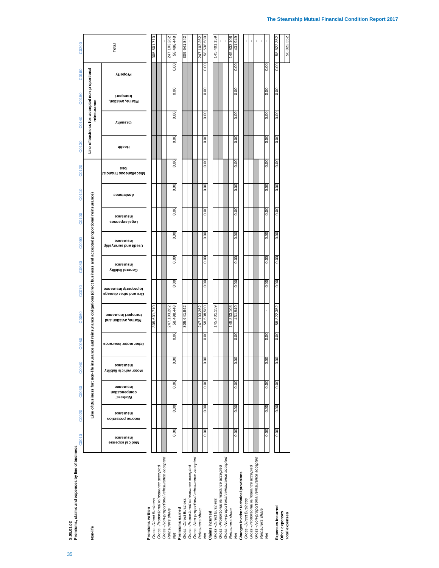| 0.00<br>0.00<br>0.00<br>0.00<br>0.00<br><b>Isionsnit auoenslleosiM</b><br>0.00<br>0.00<br>0.00<br>0.00<br>0.00<br>0.00<br>0.00<br>0.00<br>0.00<br>0.00<br>0.00<br>0.00<br>0.00<br>0.00<br>0.00<br>0.00<br>0.00<br>0.00<br>0.00<br>0.00<br>0.00<br>0.00<br>0.00<br>0.00<br>0.00<br>84,864,85<br>431,949<br>58,822,352<br>305,601,710<br>58,538,580<br>145,833,108<br>247,103,262<br>247,103,262<br>,159<br>305,641,842<br>145,401<br>0.00<br>0.00<br>0.00<br>0.00<br>0.00<br>0.00<br>0.00<br>0.00<br>0.00<br>$\frac{8}{3}$<br>0.00<br>0.00<br>0.00<br>0.00<br>0.00<br>$\frac{8}{10}$<br>0.00<br>0.00<br>0.00<br>$\frac{8}{3}$<br>0.00<br>0.00<br>0.00<br>0.00<br>0.00<br>Gross - Non-proportional reinsurance accepted<br>Gross - Non-proportional reinsurance accepted<br>Gross - Proportional reinsurance accepted<br>Gross - Proportional reinsurance accepted<br>Gross - Proportional reinsurance accepted<br>Gross - Direct Business<br>Reinsurers' share<br>Reinsurers' share<br><b>Claims incurred</b><br>Net | Premiums, claims and expenses by line of business<br>\$ 05 01 02<br>Non-life | C0010                        | C0020                          | C0030                                | C0040                                 | C <sub>0050</sub>     | Line of Business for: non-life insurance and reinsurance obligations (direct business and accepted proportional reinsurance)<br>C0060 | C0070                                          | C0080                          | C0090                              | C0100                       | C0110             | C0120 | C <sub>0130</sub> |      | C0140    | C <sub>0150</sub><br>reinsurance | Line of business for: accepted non-proportional<br>C <sub>0160</sub> |
|---------------------------------------------------------------------------------------------------------------------------------------------------------------------------------------------------------------------------------------------------------------------------------------------------------------------------------------------------------------------------------------------------------------------------------------------------------------------------------------------------------------------------------------------------------------------------------------------------------------------------------------------------------------------------------------------------------------------------------------------------------------------------------------------------------------------------------------------------------------------------------------------------------------------------------------------------------------------------------------------------------------------|------------------------------------------------------------------------------|------------------------------|--------------------------------|--------------------------------------|---------------------------------------|-----------------------|---------------------------------------------------------------------------------------------------------------------------------------|------------------------------------------------|--------------------------------|------------------------------------|-----------------------------|-------------------|-------|-------------------|------|----------|----------------------------------|----------------------------------------------------------------------|
|                                                                                                                                                                                                                                                                                                                                                                                                                                                                                                                                                                                                                                                                                                                                                                                                                                                                                                                                                                                                                     |                                                                              | insurance<br>Medical expense | insurance<br>Income protection | insurance<br>combeuseiou<br>Workers' | insurance<br>Villidsil ələirləv notoM | Other motor insurance | transport insurance<br><b>Drine, aviation and</b>                                                                                     | to property insurance<br>Fire and other damage | insurance<br>General liability | insurance<br>Credit and suretyship | insurance<br>redsı exbeuzez | <b>sonstalasA</b> |       | sso               | пеэн | Casualty | transport<br>Marine, aviation,   | Property                                                             |
|                                                                                                                                                                                                                                                                                                                                                                                                                                                                                                                                                                                                                                                                                                                                                                                                                                                                                                                                                                                                                     | Gross - Direct Business<br>Premiums written                                  |                              |                                |                                      |                                       |                       |                                                                                                                                       |                                                |                                |                                    |                             |                   |       |                   |      |          |                                  |                                                                      |
|                                                                                                                                                                                                                                                                                                                                                                                                                                                                                                                                                                                                                                                                                                                                                                                                                                                                                                                                                                                                                     | Gross - Proportional reinsurance accepted                                    |                              |                                |                                      |                                       |                       |                                                                                                                                       |                                                |                                |                                    |                             |                   |       |                   |      |          |                                  |                                                                      |
|                                                                                                                                                                                                                                                                                                                                                                                                                                                                                                                                                                                                                                                                                                                                                                                                                                                                                                                                                                                                                     |                                                                              |                              |                                |                                      |                                       |                       |                                                                                                                                       |                                                |                                |                                    |                             |                   |       |                   |      |          |                                  |                                                                      |
|                                                                                                                                                                                                                                                                                                                                                                                                                                                                                                                                                                                                                                                                                                                                                                                                                                                                                                                                                                                                                     | Net                                                                          |                              |                                |                                      |                                       |                       |                                                                                                                                       |                                                |                                |                                    |                             |                   |       |                   | 0.00 | 0.00     | 0.00                             | 0.00                                                                 |
|                                                                                                                                                                                                                                                                                                                                                                                                                                                                                                                                                                                                                                                                                                                                                                                                                                                                                                                                                                                                                     | Premiums earned                                                              |                              |                                |                                      |                                       |                       |                                                                                                                                       |                                                |                                |                                    |                             |                   |       |                   |      |          |                                  |                                                                      |
|                                                                                                                                                                                                                                                                                                                                                                                                                                                                                                                                                                                                                                                                                                                                                                                                                                                                                                                                                                                                                     |                                                                              |                              |                                |                                      |                                       |                       |                                                                                                                                       |                                                |                                |                                    |                             |                   |       |                   |      |          |                                  |                                                                      |
|                                                                                                                                                                                                                                                                                                                                                                                                                                                                                                                                                                                                                                                                                                                                                                                                                                                                                                                                                                                                                     | Gross - Non-proportional reinsurance accepted<br>Reinsurers' share           |                              |                                |                                      |                                       |                       |                                                                                                                                       |                                                |                                |                                    |                             |                   |       |                   |      |          |                                  |                                                                      |
|                                                                                                                                                                                                                                                                                                                                                                                                                                                                                                                                                                                                                                                                                                                                                                                                                                                                                                                                                                                                                     | Net                                                                          |                              |                                |                                      |                                       |                       |                                                                                                                                       |                                                |                                |                                    |                             |                   |       |                   | 0.00 | 0.00     | 0.00                             | 0.00                                                                 |
|                                                                                                                                                                                                                                                                                                                                                                                                                                                                                                                                                                                                                                                                                                                                                                                                                                                                                                                                                                                                                     | Gross - Direct Business                                                      |                              |                                |                                      |                                       |                       |                                                                                                                                       |                                                |                                |                                    |                             |                   |       |                   |      |          |                                  |                                                                      |
|                                                                                                                                                                                                                                                                                                                                                                                                                                                                                                                                                                                                                                                                                                                                                                                                                                                                                                                                                                                                                     |                                                                              |                              |                                |                                      |                                       |                       |                                                                                                                                       |                                                |                                |                                    |                             |                   |       |                   |      |          |                                  |                                                                      |
|                                                                                                                                                                                                                                                                                                                                                                                                                                                                                                                                                                                                                                                                                                                                                                                                                                                                                                                                                                                                                     | Reinsurers' share                                                            |                              |                                |                                      |                                       |                       |                                                                                                                                       |                                                |                                |                                    |                             |                   |       |                   |      |          |                                  |                                                                      |
|                                                                                                                                                                                                                                                                                                                                                                                                                                                                                                                                                                                                                                                                                                                                                                                                                                                                                                                                                                                                                     | Changes in other technical provisions                                        |                              |                                |                                      |                                       |                       |                                                                                                                                       |                                                |                                |                                    |                             |                   |       |                   | 0.00 | 0.00     | 0.00                             | 0.00                                                                 |
|                                                                                                                                                                                                                                                                                                                                                                                                                                                                                                                                                                                                                                                                                                                                                                                                                                                                                                                                                                                                                     | Gross - Direct Business                                                      |                              |                                |                                      |                                       |                       |                                                                                                                                       |                                                |                                |                                    |                             |                   |       |                   |      |          |                                  |                                                                      |
|                                                                                                                                                                                                                                                                                                                                                                                                                                                                                                                                                                                                                                                                                                                                                                                                                                                                                                                                                                                                                     | Gross - Non-proportional reinsurance accepted                                |                              |                                |                                      |                                       |                       |                                                                                                                                       |                                                |                                |                                    |                             |                   |       |                   |      |          |                                  |                                                                      |
|                                                                                                                                                                                                                                                                                                                                                                                                                                                                                                                                                                                                                                                                                                                                                                                                                                                                                                                                                                                                                     | Net                                                                          |                              |                                |                                      |                                       |                       |                                                                                                                                       |                                                |                                |                                    |                             |                   |       |                   | 0.00 | 0.00     | 0.00                             | 0.00                                                                 |
|                                                                                                                                                                                                                                                                                                                                                                                                                                                                                                                                                                                                                                                                                                                                                                                                                                                                                                                                                                                                                     | Expenses incurred                                                            |                              |                                |                                      |                                       |                       |                                                                                                                                       |                                                |                                |                                    |                             |                   |       |                   | 0.00 | 0.00     | 0.00                             | 0.00                                                                 |

## **The Steamship Mutual Financial Condition Report 2017**

 $\mathbf{r}$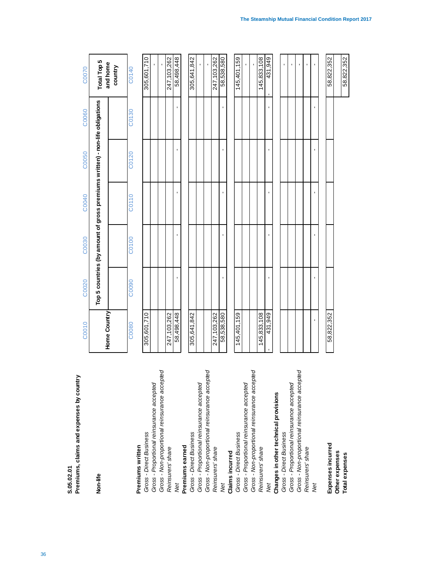| Premiums, claims and expenses by country<br>S.05.02.01 | C0010        | C0020             | C0030          | C0040          | C0050                                                                        | C0060              | C0070                   |
|--------------------------------------------------------|--------------|-------------------|----------------|----------------|------------------------------------------------------------------------------|--------------------|-------------------------|
| Non-life                                               | Home Country |                   |                |                | Top 5 countries (by amount of gross premiums written) - non-life obligations |                    | Total Top 5<br>and home |
|                                                        |              |                   |                |                |                                                                              |                    | country                 |
| Premiums written                                       | C0080        | C <sub>0090</sub> | C0100          | C0110          | C <sub>0120</sub>                                                            | C <sub>0</sub> 130 | C0140                   |
| Gross - Direct Business                                | 305,601,710  |                   |                |                |                                                                              |                    | 305,601,710             |
| Gross - Proportional reinsurance accepted              |              |                   |                |                |                                                                              |                    |                         |
| Gross - Non-proportional reinsurance accepted          |              |                   |                |                |                                                                              |                    |                         |
| Reinsurers' share                                      | 247,103,262  |                   |                |                |                                                                              |                    | 247, 103, 262           |
| Net                                                    | 58,498,448   |                   |                |                |                                                                              |                    | 58,498,448              |
| Premiums earned                                        |              |                   |                |                |                                                                              |                    |                         |
| Gross - Direct Business                                | 305,641,842  |                   |                |                |                                                                              |                    | 305,641,842             |
| Gross - Proportional reinsurance accepted              |              |                   |                |                |                                                                              |                    |                         |
| Gross - Non-proportional reinsurance accepted          |              |                   |                |                |                                                                              |                    |                         |
| Reinsurers' share                                      | 247,103,262  |                   |                |                |                                                                              |                    | 247,103,262             |
| Net                                                    | 58,538,580   | $\blacksquare$    | $\blacksquare$ | J.             | ٠                                                                            | ı                  | 58,538,580              |
| Claims incurred                                        |              |                   |                |                |                                                                              |                    |                         |
| Gross - Direct Business                                | 145,401,159  |                   |                |                |                                                                              |                    | 145,401,159             |
| Gross - Proportional reinsurance accepted              |              |                   |                |                |                                                                              |                    |                         |
| Gross - Non-proportional reinsurance accepted          |              |                   |                |                |                                                                              |                    | ï                       |
| Reinsurers' share                                      | 145,833,108  |                   |                |                |                                                                              |                    | 145,833,108             |
| Net                                                    | 431,949      |                   | $\blacksquare$ | $\blacksquare$ | $\blacksquare$                                                               |                    | 431,949                 |
| Changes in other technical provisions                  |              |                   |                |                |                                                                              |                    |                         |
| Gross - Direct Business                                |              |                   |                |                |                                                                              |                    | $\mathbf{r}$            |
| Gross - Proportional reinsurance accepted              |              |                   |                |                |                                                                              |                    | t,                      |
| Gross - Non-proportional reinsurance accepted          |              |                   |                |                |                                                                              |                    | $\mathbf{r}$            |
| Reinsurers' share                                      |              |                   |                |                |                                                                              |                    | $\blacksquare$          |
| Net                                                    | t,           | t,                | t,             |                |                                                                              | ×,                 |                         |
|                                                        |              |                   |                |                |                                                                              |                    |                         |
| Expenses incurred                                      | 58,822,352   |                   |                |                |                                                                              |                    | 58,822,352              |
| Other expenses<br>Total expenses                       |              |                   |                |                |                                                                              |                    | 58,822,352              |
|                                                        |              |                   |                |                |                                                                              |                    |                         |

**The Steamship Mutual Financial Condition Report 2017**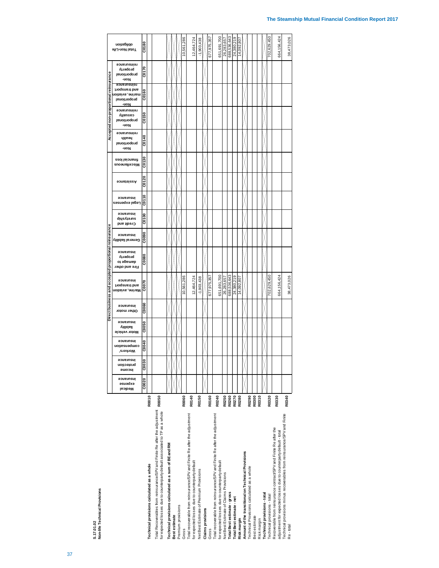ទី

**Direct business and accepted proportional reinsurance Accepted non-proportional reinsurance**

ē

**Total Non-Life obligation**

|                                                                                         |              | Technical provisions calculated as a whole | Total Recoverables from reinsurance/SPV and Finite Re after the adjustment R0050<br>for expected losses due to counterparty default associated to TP as a whole | Technical provisions calculated as a sum of BE and RM | Best estimate | Premium provisions | Gross          | Total recoverable from reinsurance/SPV and Finite Re after the adjustment<br>for expected losses due to counterparty default | Net Best Estimate of Premium Provisions | <b>Claims</b> provisions | Gross       | Total recoverable from reinsurance/SPV and Finite Re after the adjustment<br>for expected losses due to counterparty default | Net Best Estimate of Claims Provisions |                          | Total Best estimate - gross | Total Best estimate - net | Risk margin | Amount of the transitional on Technical Provisions | Technical Provisions calculated as a whole | Best estimate | Risk margin | Technical provisions-total | Technical provisions - total | Recoverable from reinsurance contract/SPV and Finite Re after the | adjustment for expected losses due to counterparty default - total | Technical provisions minus recoverables from reinsurance/SPV and Finite<br>Re-total |
|-----------------------------------------------------------------------------------------|--------------|--------------------------------------------|-----------------------------------------------------------------------------------------------------------------------------------------------------------------|-------------------------------------------------------|---------------|--------------------|----------------|------------------------------------------------------------------------------------------------------------------------------|-----------------------------------------|--------------------------|-------------|------------------------------------------------------------------------------------------------------------------------------|----------------------------------------|--------------------------|-----------------------------|---------------------------|-------------|----------------------------------------------------|--------------------------------------------|---------------|-------------|----------------------------|------------------------------|-------------------------------------------------------------------|--------------------------------------------------------------------|-------------------------------------------------------------------------------------|
|                                                                                         |              | R0010                                      |                                                                                                                                                                 |                                                       |               |                    | R0060          | R0140                                                                                                                        | R0150                                   |                          | R0160       | R0240                                                                                                                        | R0250                                  | R0260                    |                             | R0270                     | R0280       |                                                    | R0290                                      | R0300         | R0310       |                            | R0320                        | R0330                                                             |                                                                    | R0340                                                                               |
| msurance<br>əsuədxə<br>Medical                                                          | C0020        |                                            |                                                                                                                                                                 |                                                       |               |                    |                |                                                                                                                              |                                         |                          |             |                                                                                                                              |                                        |                          |                             |                           |             |                                                    |                                            |               |             |                            |                              |                                                                   |                                                                    |                                                                                     |
| <b>Workers</b> '<br>protection<br>∣ucowe                                                | C0030        |                                            |                                                                                                                                                                 |                                                       |               |                    |                |                                                                                                                              |                                         |                          |             |                                                                                                                              |                                        |                          |                             |                           |             |                                                    |                                            |               |             |                            |                              |                                                                   |                                                                    |                                                                                     |
| insurance<br>compensation                                                               | C0040        |                                            |                                                                                                                                                                 |                                                       |               |                    |                |                                                                                                                              |                                         |                          |             |                                                                                                                              |                                        |                          |                             |                           |             |                                                    |                                            |               |             |                            |                              |                                                                   |                                                                    |                                                                                     |
| insurance<br>liability<br>Motor vehicle                                                 | <b>COO50</b> |                                            |                                                                                                                                                                 |                                                       |               |                    |                |                                                                                                                              |                                         |                          |             |                                                                                                                              |                                        |                          |                             |                           |             |                                                    |                                            |               |             |                            |                              |                                                                   |                                                                    |                                                                                     |
| insurance<br>Other motor                                                                | ငာစေရ        |                                            |                                                                                                                                                                 |                                                       |               |                    |                |                                                                                                                              |                                         |                          |             |                                                                                                                              |                                        |                          |                             |                           |             |                                                    |                                            |               |             |                            |                              |                                                                   |                                                                    |                                                                                     |
| insurance<br>and transport<br>Marine, aviation                                          | ້ຮ           |                                            |                                                                                                                                                                 |                                                       |               |                    | ,286<br>10,561 | 12,464,724                                                                                                                   | $-1,903,438$                            |                          | 677,975,357 | 651,691,700                                                                                                                  |                                        | 688,536,643<br>26,283,65 |                             | თ<br>24,380,21            | 14,092,80   |                                                    |                                            |               |             |                            | 702,629,450                  |                                                                   | 664,156,424                                                        | 38,473,026                                                                          |
| insurance<br>property<br>от өрбт<br>Fire and other                                      | <b>C0080</b> |                                            |                                                                                                                                                                 |                                                       |               |                    |                |                                                                                                                              |                                         |                          |             |                                                                                                                              |                                        |                          |                             |                           |             |                                                    |                                            |               |             |                            |                              |                                                                   |                                                                    |                                                                                     |
| insurance<br>General liability                                                          | ငေး          |                                            |                                                                                                                                                                 |                                                       |               |                    |                |                                                                                                                              |                                         |                          |             |                                                                                                                              |                                        |                          |                             |                           |             |                                                    |                                            |               |             |                            |                              |                                                                   |                                                                    |                                                                                     |
| insurance<br>ainetyship<br>Credit and                                                   | ខិត          |                                            |                                                                                                                                                                 |                                                       |               |                    |                |                                                                                                                              |                                         |                          |             |                                                                                                                              |                                        |                          |                             |                           |             |                                                    |                                            |               |             |                            |                              |                                                                   |                                                                    |                                                                                     |
| insurance<br>ךe∂s pexbeuzea                                                             | 믄<br>š       |                                            |                                                                                                                                                                 |                                                       |               |                    |                |                                                                                                                              |                                         |                          |             |                                                                                                                              |                                        |                          |                             |                           |             |                                                    |                                            |               |             |                            |                              |                                                                   |                                                                    |                                                                                     |
| Assistance                                                                              | CO12C        |                                            |                                                                                                                                                                 |                                                       |               |                    |                |                                                                                                                              |                                         |                          |             |                                                                                                                              |                                        |                          |                             |                           |             |                                                    |                                            |               |             |                            |                              |                                                                   |                                                                    |                                                                                     |
| -uo N<br>financial loss<br>Miscellaneous                                                | ខេត្ត        |                                            |                                                                                                                                                                 |                                                       |               |                    |                |                                                                                                                              |                                         |                          |             |                                                                                                                              |                                        |                          |                             |                           |             |                                                    |                                            |               |             |                            |                              |                                                                   |                                                                    |                                                                                     |
| reinsurance<br>ингөч<br>proportional                                                    | <b>GD140</b> |                                            |                                                                                                                                                                 |                                                       |               |                    |                |                                                                                                                              |                                         |                          |             |                                                                                                                              |                                        |                          |                             |                           |             |                                                    |                                            |               |             |                            |                              |                                                                   |                                                                    |                                                                                     |
| reinsurance<br>caanaly<br><b>Jenoitional</b><br>-uo N                                   | CO150        |                                            |                                                                                                                                                                 |                                                       |               |                    |                |                                                                                                                              |                                         |                          |             |                                                                                                                              |                                        |                          |                             |                           |             |                                                    |                                            |               |             |                            |                              |                                                                   |                                                                    |                                                                                     |
| reinsurance<br>and transport<br>noitsivs , aviation<br>proportional<br>-uo <sub>N</sub> | ទី<br>ຣັ     |                                            |                                                                                                                                                                 |                                                       |               |                    |                |                                                                                                                              |                                         |                          |             |                                                                                                                              |                                        |                          |                             |                           |             |                                                    |                                            |               |             |                            |                              |                                                                   |                                                                    |                                                                                     |
| reinsurance<br>property<br>proportional<br>-uo N                                        | <b>CO170</b> |                                            |                                                                                                                                                                 |                                                       |               |                    |                |                                                                                                                              |                                         |                          |             |                                                                                                                              |                                        |                          |                             |                           |             |                                                    |                                            |               |             |                            |                              |                                                                   |                                                                    |                                                                                     |
| obligation<br>Total Non-Life                                                            | CO180        |                                            |                                                                                                                                                                 |                                                       |               |                    | 10,561,28      | 12,464.72                                                                                                                    | $-1,903,438$                            |                          | 677,975,35  | 651.691.700                                                                                                                  |                                        | 26,283,657<br>688,536,64 |                             | 24,380,219                | 14,092,80   |                                                    |                                            |               |             |                            | 702,629,45                   |                                                                   | 664,156,424                                                        | 38,473,026                                                                          |

 $700$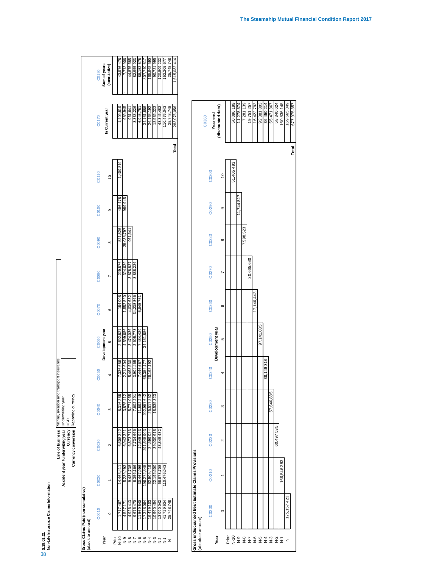|           | Ë<br>Ξ                          |
|-----------|---------------------------------|
|           | ain<br>ā                        |
| S.19.01.2 | ranci<br>ns<br>1<br>÷<br>÷<br>깉 |
|           |                                 |

|                   |                                    |             |                                  | Line of business Marine, aviation and transport insurance |            |                  |            |           |            |         |               |                 |               |
|-------------------|------------------------------------|-------------|----------------------------------|-----------------------------------------------------------|------------|------------------|------------|-----------|------------|---------|---------------|-----------------|---------------|
|                   |                                    |             | Accident year / underwiting year | Underwriting year                                         |            |                  |            |           |            |         |               |                 |               |
|                   |                                    |             | <b>Currency</b>                  | asn                                                       |            |                  |            |           |            |         |               |                 |               |
|                   |                                    |             | Currency conversion              | Reporting currency                                        |            |                  |            |           |            |         |               |                 |               |
|                   |                                    |             |                                  |                                                           |            |                  |            |           |            |         |               |                 |               |
|                   | Gross Claims Paid (non-cumulative) |             |                                  |                                                           |            |                  |            |           |            |         |               |                 |               |
| (absolute amount) |                                    |             |                                  |                                                           |            |                  |            |           |            |         |               |                 |               |
|                   | C0010                              | C0020       | C0030                            | C0040                                                     | C0050      | C0060            | C0070      | C0080     | C0090      | C0100   | C0110         | C0170           | C0180         |
| Year              |                                    |             |                                  |                                                           |            | Development year |            |           |            |         |               |                 | Sum of years  |
|                   | $\circ$                            |             | Σ                                | ო                                                         |            | LO               | O          |           | ∞          | თ       | $\frac{1}{2}$ | In Current year | (cumulative)  |
| Prior             |                                    |             |                                  |                                                           |            |                  |            |           |            |         |               |                 |               |
| $\frac{10}{2}$    | 1.717.467                          | 14,463,41   | 6,608,342                        | 8,316,368                                                 | 7,336,656  | 2,692,827        | 184,008    | 229,576   | 521,526    | 496,478 | ,409,819      | 1,409,819       | 43,976,478    |
| o-N               | 4,527,17                           | 5,239,293   | 6,943,321                        | 3,875,412                                                 | 2,213,604  | 4,599,686        | 1,552,820  | 324,639   | 38,038,797 | 989,945 |               | 989,945         | 7,772,906     |
| $\frac{8}{2}$     | 4,926,413                          | 9,481,738   | 6,873,713                        | 5,771,055                                                 | 5,468,530  | 3,474,036        | 4,039,632  | 3,878,827 | 961,641    |         |               | 961,64          | 44,875,585    |
| $\frac{7}{2}$     | 9,675,470                          | 8,356,166   | 7.734.666                        | 7.602.291                                                 | 3,904,465  | 2,605,773        | 34,238,866 | 8,838,226 |            |         |               | 8,838,226       | 82,955,923    |
| $\frac{6}{2}$     | 11,569,540                         | 30,467,996  | 12,645,943                       | 11,592,249                                                | 7,446,667  | 7,484,429        | 6,945,751  |           |            |         |               | 6,945,751       | 88,152,575    |
| $\frac{5}{2}$     | 17,348,064                         | 196,272,845 | 291, 645, 903                    | 202,957,642                                               | 65,354,177 | 34,161,886       |            |           |            |         |               | 34,161,886      | 807,740,517   |
| $\frac{4}{5}$     | 16,479,103                         | 62,909,419  | 34,599,024                       | 25,517,852                                                | 26,163,192 |                  |            |           |            |         |               | 26,163,192      | 165,668,590   |
| $\frac{3}{2}$     | 10,960,454                         | 22,195,600  | 39,030,618                       | 18,535,323                                                |            |                  |            |           |            |         |               | 18,535,323      | 90,721,995    |
| $\frac{2}{5}$     | 13,090,042                         | 58,873,708  | 48.845.482                       |                                                           |            |                  |            |           |            |         |               | 48,845,482      | 120,809,232   |
| $\tilde{z}$       | 41,729,634                         | 110,476,043 |                                  |                                                           |            |                  |            |           |            |         |               | 110,476,043     | 152,205,677   |
| z                 | 25,748,748                         |             |                                  |                                                           |            |                  |            |           |            |         |               | 25,748,748      | 25,748,748    |
|                   |                                    |             |                                  |                                                           |            |                  |            |           |            |         | Total         | 283,076,056     | 1,615,082,414 |



| absolute amount) |             |            |                   |            |                  |            |            |           |                   |            | C0360             |
|------------------|-------------|------------|-------------------|------------|------------------|------------|------------|-----------|-------------------|------------|-------------------|
| C0200            | C0210       | C0220      | C <sub>0230</sub> | C0240      | C0250            | C0260      | C0270      | C0280     | C <sub>0290</sub> | C0300      | Year end          |
|                  |             |            |                   |            | Development year |            |            |           |                   |            | (discounted data) |
| $\circ$          |             | $\sim$     |                   |            | မာ               | 0          |            | ∞         | $\circ$           |            |                   |
|                  |             |            |                   |            |                  |            |            |           |                   |            |                   |
|                  |             |            |                   |            |                  |            |            |           |                   | 51,405,493 | 50,096,199        |
|                  |             |            |                   |            |                  |            |            |           | 11,744,827        |            | 11,278,374        |
|                  |             |            |                   |            |                  |            |            | 7,598,523 |                   |            | 7,281,139         |
|                  |             |            |                   |            |                  |            | 20,665,680 |           |                   |            | 19,751,257        |
|                  |             |            |                   |            |                  | 17,146,443 |            |           |                   |            | 16,422,793        |
|                  |             |            |                   |            | 97,141,035       |            |            |           |                   |            | 92,381,893        |
|                  |             |            |                   | 38,149,316 |                  |            |            |           |                   |            | 36,450,214        |
|                  |             |            | ,646,885<br>57.   |            |                  |            |            |           |                   |            | 55,471,367        |
|                  |             | 60,497,535 |                   |            |                  |            |            |           |                   |            | 58,340,624        |
|                  | 166,546,383 |            |                   |            |                  |            |            |           |                   |            | 160,836,148       |
| 175, 157, 423    |             |            |                   |            |                  |            |            |           |                   |            | 169,665,349       |
|                  |             |            |                   |            |                  |            |            |           |                   | Total      | 677,975,357       |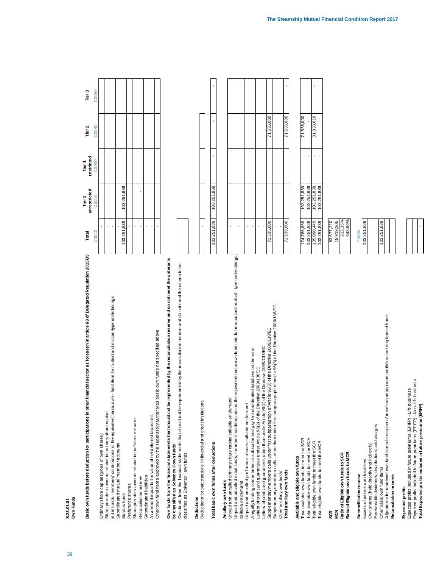S.23.01.01<br>Own Funds 39 **S.23.01.01 Own Funds**

Basic own funds before deduction for participations in other financial sector as foreseen in article 68 of Delegated Regulation 2015/35 Total Tier 2 Tier 3 Basic own funds before deduction for participations in other financial sector as foreseen in article 68 of Delegated Regulation 2015/35

Surplus funds 103,251,839 103,251,839 Reconciliation reserve - - Ordinary share capital (gross of own shares) - Share premium account related to ordinary share capital - Initial funds, members' contributions or the equivalent basic own - fund item for mutual and mutual-type undertakings - Subordinated mutual member accounts - Preference shares - Share premium account related to preference shares - Subordinated liabilities - An amount equal to the value of net deferred tax assets - Other own fund items approved by the supervisory authority as basic own funds not specified above Initial funds, members' contributions or the equivalent basic own - fund item for mutual and mutual-type undertakings Other own fund items approved by the supervisory authority as basic own funds not specified above Share premium account related to ordinary share capital An amount equal to the value of net deferred tax assets Share premium account related to preference shares Ordinary share capital (gross of own shares) Subordinated mutual member accounts Reconciliation reserve Subordinated liabilities Preference shares Surplus funds

**Own funds from the financial statements that should not be represented by the reconciliation reserve and do not meet the criteria to**  Own funds from the financial statements that should not be represented by the reconciliation reserve and do not meet the criteria be classified as Solvency II own funds **be classified as Solvency II own funds**

Own funds from the financial statements that should not be represented by the reconciliation reserve and do not meet the criteria to be Own funds from the financial statements that should not be represented by the reconciliation reserve and do not meet the criteria to be classified as Solvency II own funds classified as Solvency II own funds

# Total basic own funds after deductions

Ancillary own funds **Ancillary own funds**

Supplementary members calls under first subparagraph of Article 96(3) of the Directive 2009/138/EC 71,535,000 71,535,000 Unpaid and uncalled ordinary share capital callable on demand - Unpaid and uncalled preference shares callable on demand  $\alpha$ A legally binding commitment to subscribe and pay for subordinated liabilities on demand - Letters of credit and guarantees under Article 96(2) of the Directive 2009/138/EC - Letters of credit and guarantees other than under Article 96(2) of the Directive 2009/138/EC -Supplementary members calls - other than under first subparagraph of Article 96(3) of the Directive 2009/138/EC - - The manufacture and the manufacture of the manufacture of  $\sigma$ Unpaid and uncalled initial funds, members' contributions or the equivalent basic own fund item for mutual and mutual - type undertakings, Unpaid and uncalled initial funds, members' contributions or the equivalent basic own fund item for mutual and mutual - type undertakings, Supplementary members calls under first subparagraph of Article 96(3) of the Directive 2009/138/EC<br>Supplementary members calls - other than under first subparagraph of Article 96(3) of the Directive 2009/138/EC Letters of credit and guarantees other than under Article 96(2) of the Directive 2009/138/EC A legally binding commitment to subscribe and pay for subordinated liabilities on demand Letters of credit and guarantees under Article 96(2) of the Directive 2009/138/EC Unpaid and uncalled ordinary share capital callable on demand Unpaid and uncalled preference shares callable on demand Total ancillary own funds Other ancillary own funds callable on demand callable on demand

Available and eligible own funds **Available and eligible own funds**

**SCR** 

**Reconcilliation reserve** C0060 Excess of assets over liabilities Reconcilliation reserve

Excess of assets over liabilities 103,251,839 Other basic own fund items 103,251,839 Adjustment for restricted own fund items in respect of matching adjustment portfolios and ring fenced funds Adjustment for restricted own fund items in respect of matching adjustment portfolios and ring fenced funds Foreseeable dividends, distributions and charges Foreseeable dividends, distributions and charges Own shares (held directly and indirectly) Own shares (held directly and indirectly) Other basic own fund items Reconciliation reserve **Reconciliation reserve**

# Expected profits **Expected profits**

**Total Expected profits included in future premiums (EPIFP)** -Expected profits included in future premiums (EPIFP) - Life business<br>Expected profits included in future premiums (EPIFP) - Non- life business Expected profits included in future premiums (EPIFP) - Non- life business Expected profits included in future premiums (EPIFP) - Life business Total Expected profits included in future premiums (EPIFP)

| Total       | unrestricted<br>Tier 1 | Tier 1<br>restricted | Tier 2 | Tier 3 |
|-------------|------------------------|----------------------|--------|--------|
| C0010       | C0020                  | C0030                | C0040  | C0050  |
|             |                        |                      |        |        |
|             |                        |                      |        |        |
|             |                        |                      |        |        |
|             |                        |                      |        |        |
| 103,251,839 | 103,251,839            |                      |        |        |
|             |                        |                      |        |        |
|             |                        |                      |        |        |
|             |                        |                      |        |        |
|             |                        |                      |        |        |
|             |                        |                      |        |        |
|             |                        |                      |        |        |
|             |                        |                      |        |        |
|             |                        |                      |        |        |

| 3<br>í<br>ļ<br>ł<br>١<br>١                                                                                                                        |  |  |   |
|---------------------------------------------------------------------------------------------------------------------------------------------------|--|--|---|
| į<br>i<br>5<br>itins<br>ׅ֘֒<br>Tere Crea<br>Ś<br>5<br>5<br>5<br>Jeductions for participations in financial<br>c                                   |  |  |   |
|                                                                                                                                                   |  |  |   |
| i<br>ń<br>5<br>5<br>5<br>i<br>֖֖֖֖֖֖֖֧ׅ֖֧֖֖֧֪֪֪֪֪֪֪֪֪֪ׅ֧֚֚֚֚֚֚֚֚֚֚֚֚֚֚֚֚֚֚֚֚֚֚֚֚֚֚֚֬֝֝֓֞֝֓֞<br>ì<br>I<br>í<br>l<br>ļ<br><b>A</b><br>otal basic ow |  |  | ۱ |

| equivalent basic own fund item for mutual and mutual - type undertakings,<br>Inpaid and uncalled initial funds, members' contributions or the |            |            |  |
|-----------------------------------------------------------------------------------------------------------------------------------------------|------------|------------|--|
| callable on demand                                                                                                                            |            |            |  |
| Inpaid and uncalled preference shares callable on demand                                                                                      |            |            |  |
| legally binding commitment to subscribe and pay for subordinated liabilities on demand                                                        |            |            |  |
| etters of credit and guarantees under Article 96(2) of the Directive 2009/138/EC                                                              |            |            |  |
| etters of credit and guarantees other than under Article 96(2) of the Directive 2009/138/EC.                                                  |            |            |  |
| supplementary members calls under first subparagraph of Article 96(3) of the Directive 2009/138/EC                                            | 71,535,000 | 71,535,000 |  |
| supplementary members calls - other than under first subparagraph of Article 96(3) of the Directive 2009/138/EC                               |            |            |  |
| Other ancillary own funds                                                                                                                     |            |            |  |
| Total ancillary own funds                                                                                                                     | 71,535,000 | 71,535,000 |  |
|                                                                                                                                               |            |            |  |
|                                                                                                                                               |            |            |  |

| <b>Available and eighter VW in units</b>  |   |        |   |
|-------------------------------------------|---|--------|---|
| Total available own funds to meet the SCR |   | Ì<br>j |   |
| Total available own funds to meet the MCR |   | ᠈<br>Į |   |
| Total eligible own funds to meet the SCR  | š | ʻ<br>Į | 5 |
| Total eligible own funds to meet the MCR  |   | ١<br>j |   |
|                                           |   |        |   |

41

| ង្ល ទ្ទ                                                                  |                                                |
|--------------------------------------------------------------------------|------------------------------------------------|
|                                                                          |                                                |
| Ratio of Eligible own funds to SCR<br>Ratio of Eligible own funds to MCR | 63,677,220<br>15,919,305<br>212,15%<br>648,60% |
|                                                                          |                                                |
| Reconcilliation reserve                                                  |                                                |
| Excess of assets over liabilities                                        | C0060<br>103,251,839                           |
|                                                                          |                                                |

| 839<br>03.251 |  | 839<br>٠ |  |
|---------------|--|----------|--|

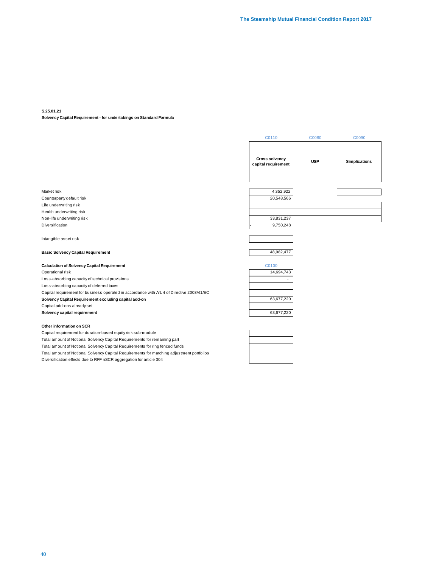#### **S.25.01.21**

**Solvency Capital Requirement - for undertakings on Standard Formula**

|                                                                                             | C0110                                 | C0080      | C0090                |
|---------------------------------------------------------------------------------------------|---------------------------------------|------------|----------------------|
|                                                                                             | Gross solvency<br>capital requirement | <b>USP</b> | <b>Simplications</b> |
| Market risk                                                                                 | 4,352,922                             |            |                      |
| Counterparty default risk                                                                   | 20,548,566                            |            |                      |
| Life underwriting risk                                                                      |                                       |            |                      |
| Health underwriting risk                                                                    |                                       |            |                      |
| Non-life underwriting risk                                                                  | 33,831,237                            |            |                      |
| <b>Diversification</b>                                                                      | 9,750,248                             |            |                      |
| Intangible asset risk                                                                       |                                       |            |                      |
| <b>Basic Solvency Capital Requirement</b>                                                   | 48,982,477                            |            |                      |
| <b>Calculation of Solvency Capital Requirement</b>                                          | C0100                                 |            |                      |
| Operational risk                                                                            | 14,694,743                            |            |                      |
| Loss-absorbing capacity of technical provisions                                             |                                       |            |                      |
| Loss-absorbing capacity of deferred taxes                                                   |                                       |            |                      |
| Capital requirement for business operated in accordance with Art. 4 of Directive 2003/41/EC |                                       |            |                      |
| Solvency Capital Requirement excluding capital add-on                                       | 63,677,220                            |            |                      |
| Capital add-ons already set                                                                 |                                       |            |                      |

**Solvency capital requirement** 63,677,220

#### **Other information on SCR**

Capital requirement for duration-based equity risk sub-module Total amount of Notional Solvency Capital Requirements for remaining part Total amount of Notional Solvency Capital Requirements for ring fenced funds Total amount of Notional Solvency Capital Requirements for matching adjustment portfolios Diversification effects due to RFF nSCR aggregation for article 304

| ——<br>— |
|---------|
|         |
|         |
|         |
|         |